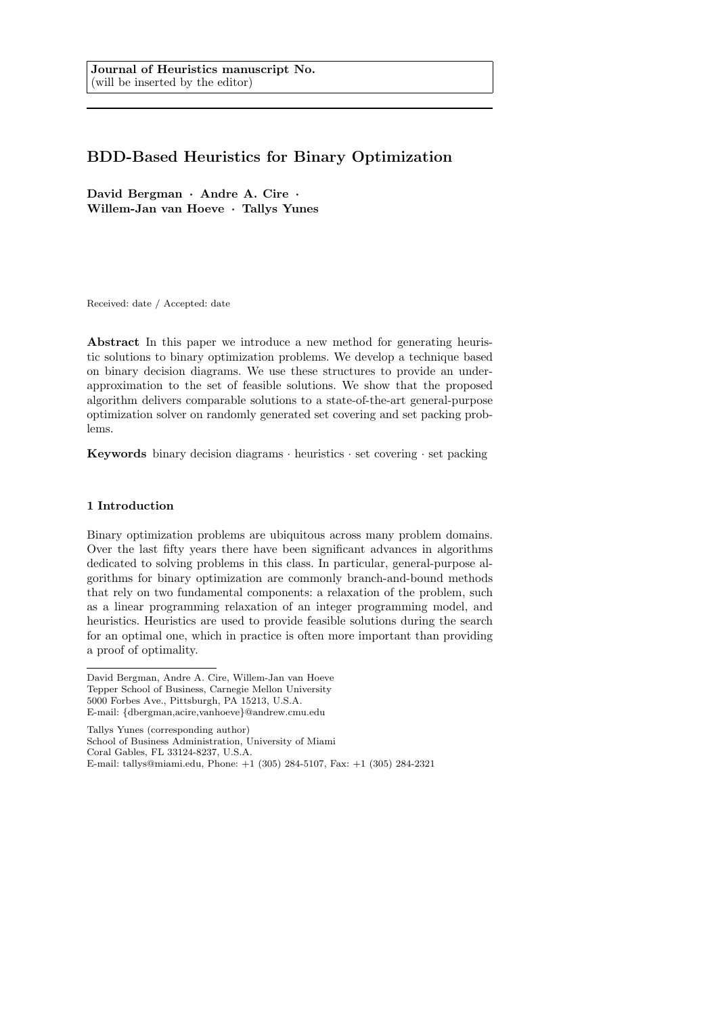# **BDD-Based Heuristics for Binary Optimization**

**David Bergman** *·* **Andre A. Cire** *·* **Willem-Jan van Hoeve** *·* **Tallys Yunes**

Received: date / Accepted: date

**Abstract** In this paper we introduce a new method for generating heuristic solutions to binary optimization problems. We develop a technique based on binary decision diagrams. We use these structures to provide an underapproximation to the set of feasible solutions. We show that the proposed algorithm delivers comparable solutions to a state-of-the-art general-purpose optimization solver on randomly generated set covering and set packing problems.

**Keywords** binary decision diagrams *·* heuristics *·* set covering *·* set packing

# **1 Introduction**

Binary optimization problems are ubiquitous across many problem domains. Over the last fifty years there have been significant advances in algorithms dedicated to solving problems in this class. In particular, general-purpose algorithms for binary optimization are commonly branch-and-bound methods that rely on two fundamental components: a relaxation of the problem, such as a linear programming relaxation of an integer programming model, and heuristics. Heuristics are used to provide feasible solutions during the search for an optimal one, which in practice is often more important than providing a proof of optimality.

Tallys Yunes (corresponding author) School of Business Administration, University of Miami Coral Gables, FL 33124-8237, U.S.A. E-mail: tallys@miami.edu, Phone: +1 (305) 284-5107, Fax: +1 (305) 284-2321

David Bergman, Andre A. Cire, Willem-Jan van Hoeve Tepper School of Business, Carnegie Mellon University 5000 Forbes Ave., Pittsburgh, PA 15213, U.S.A. E-mail: *{*dbergman,acire,vanhoeve*}*@andrew.cmu.edu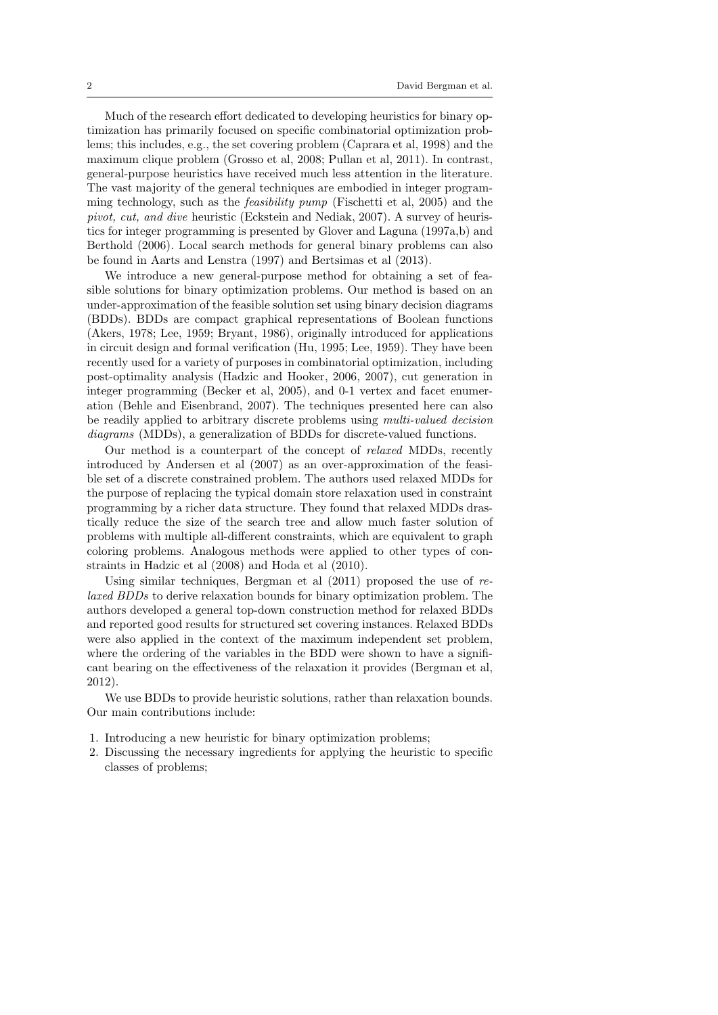Much of the research effort dedicated to developing heuristics for binary optimization has primarily focused on specific combinatorial optimization problems; this includes, e.g., the set covering problem (Caprara et al, 1998) and the maximum clique problem (Grosso et al, 2008; Pullan et al, 2011). In contrast, general-purpose heuristics have received much less attention in the literature. The vast majority of the general techniques are embodied in integer programming technology, such as the *feasibility pump* (Fischetti et al, 2005) and the *pivot, cut, and dive* heuristic (Eckstein and Nediak, 2007). A survey of heuristics for integer programming is presented by Glover and Laguna (1997a,b) and Berthold (2006). Local search methods for general binary problems can also be found in Aarts and Lenstra (1997) and Bertsimas et al (2013).

We introduce a new general-purpose method for obtaining a set of feasible solutions for binary optimization problems. Our method is based on an under-approximation of the feasible solution set using binary decision diagrams (BDDs). BDDs are compact graphical representations of Boolean functions (Akers, 1978; Lee, 1959; Bryant, 1986), originally introduced for applications in circuit design and formal verification (Hu, 1995; Lee, 1959). They have been recently used for a variety of purposes in combinatorial optimization, including post-optimality analysis (Hadzic and Hooker, 2006, 2007), cut generation in integer programming (Becker et al, 2005), and 0-1 vertex and facet enumeration (Behle and Eisenbrand, 2007). The techniques presented here can also be readily applied to arbitrary discrete problems using *multi-valued decision diagrams* (MDDs), a generalization of BDDs for discrete-valued functions.

Our method is a counterpart of the concept of *relaxed* MDDs, recently introduced by Andersen et al (2007) as an over-approximation of the feasible set of a discrete constrained problem. The authors used relaxed MDDs for the purpose of replacing the typical domain store relaxation used in constraint programming by a richer data structure. They found that relaxed MDDs drastically reduce the size of the search tree and allow much faster solution of problems with multiple all-different constraints, which are equivalent to graph coloring problems. Analogous methods were applied to other types of constraints in Hadzic et al (2008) and Hoda et al (2010).

Using similar techniques, Bergman et al (2011) proposed the use of *relaxed BDDs* to derive relaxation bounds for binary optimization problem. The authors developed a general top-down construction method for relaxed BDDs and reported good results for structured set covering instances. Relaxed BDDs were also applied in the context of the maximum independent set problem, where the ordering of the variables in the BDD were shown to have a significant bearing on the effectiveness of the relaxation it provides (Bergman et al, 2012).

We use BDDs to provide heuristic solutions, rather than relaxation bounds. Our main contributions include:

- 1. Introducing a new heuristic for binary optimization problems;
- 2. Discussing the necessary ingredients for applying the heuristic to specific classes of problems;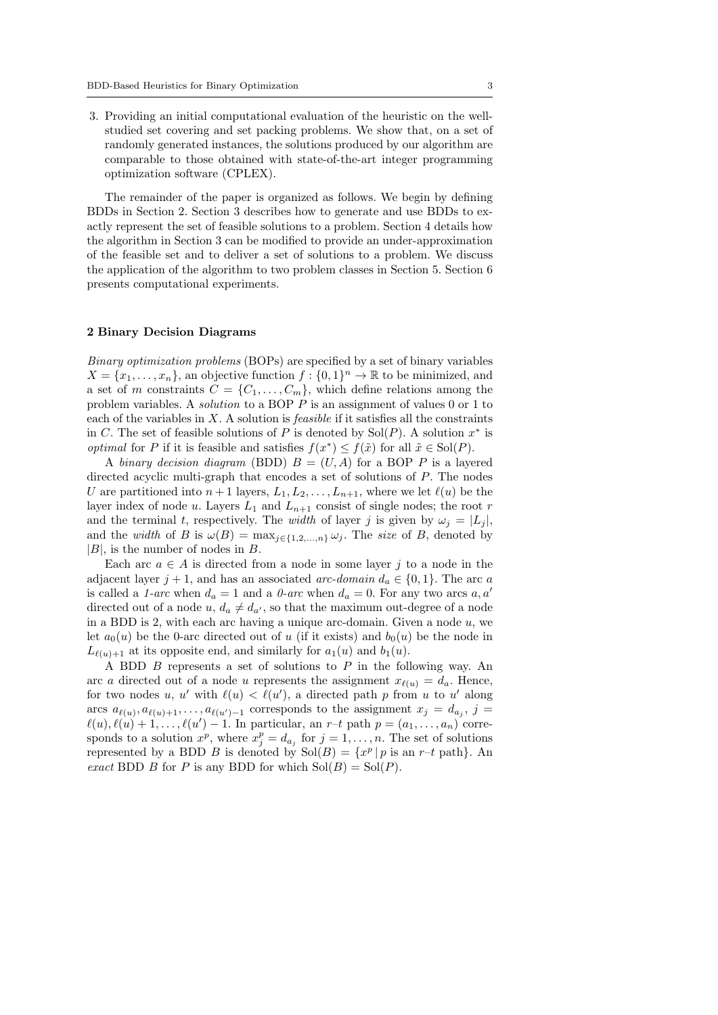3. Providing an initial computational evaluation of the heuristic on the wellstudied set covering and set packing problems. We show that, on a set of randomly generated instances, the solutions produced by our algorithm are comparable to those obtained with state-of-the-art integer programming optimization software (CPLEX).

The remainder of the paper is organized as follows. We begin by defining BDDs in Section 2. Section 3 describes how to generate and use BDDs to exactly represent the set of feasible solutions to a problem. Section 4 details how the algorithm in Section 3 can be modified to provide an under-approximation of the feasible set and to deliver a set of solutions to a problem. We discuss the application of the algorithm to two problem classes in Section 5. Section 6 presents computational experiments.

### **2 Binary Decision Diagrams**

*Binary optimization problems* (BOPs) are specified by a set of binary variables  $X = \{x_1, \ldots, x_n\}$ , an objective function  $f: \{0, 1\}^n \to \mathbb{R}$  to be minimized, and a set of *m* constraints  $C = \{C_1, \ldots, C_m\}$ , which define relations among the problem variables. A *solution* to a BOP *P* is an assignment of values 0 or 1 to each of the variables in *X*. A solution is *feasible* if it satisfies all the constraints in *C*. The set of feasible solutions of *P* is denoted by  $Sol(P)$ . A solution  $x^*$  is *optimal* for *P* if it is feasible and satisfies  $f(x^*) \leq f(\tilde{x})$  for all  $\tilde{x} \in Sol(P)$ .

A *binary decision diagram* (BDD)  $B = (U, A)$  for a BOP P is a layered directed acyclic multi-graph that encodes a set of solutions of *P*. The nodes *U* are partitioned into  $n+1$  layers,  $L_1, L_2, \ldots, L_{n+1}$ , where we let  $\ell(u)$  be the layer index of node *u*. Layers  $L_1$  and  $L_{n+1}$  consist of single nodes; the root *r* and the terminal *t*, respectively. The *width* of layer *j* is given by  $\omega_i = |L_i|$ , and the *width* of *B* is  $\omega(B) = \max_{i \in \{1, 2, ..., n\}} \omega_i$ . The *size* of *B*, denoted by *|B|*, is the number of nodes in *B*.

Each arc  $a \in A$  is directed from a node in some layer *j* to a node in the adjacent layer  $j + 1$ , and has an associated *arc-domain*  $d_a \in \{0, 1\}$ . The arc *a* is called a *1-arc* when  $d_a = 1$  and a *0-arc* when  $d_a = 0$ . For any two arcs  $a, a'$ directed out of a node  $u, d_a \neq d_{a'}$ , so that the maximum out-degree of a node in a BDD is 2, with each arc having a unique arc-domain. Given a node *u*, we let  $a_0(u)$  be the 0-arc directed out of *u* (if it exists) and  $b_0(u)$  be the node in  $L_{\ell(u)+1}$  at its opposite end, and similarly for  $a_1(u)$  and  $b_1(u)$ .

A BDD *B* represents a set of solutions to *P* in the following way. An arc *a* directed out of a node *u* represents the assignment  $x_{\ell(u)} = d_a$ . Hence, for two nodes *u*, *u'* with  $\ell(u) < \ell(u')$ , a directed path *p* from *u* to *u'* along arcs  $a_{\ell(u)}, a_{\ell(u)+1}, \ldots, a_{\ell(u')-1}$  corresponds to the assignment  $x_j = d_{a_j}, j =$  $\ell(u), \ell(u) + 1, \ldots, \ell(u') - 1$ . In particular, an  $r$ -*t* path  $p = (a_1, \ldots, a_n)$  corresponds to a solution  $x^p$ , where  $x_j^p = d_{a_j}$  for  $j = 1, \ldots, n$ . The set of solutions represented by a BDD *B* is denoted by  $Sol(B) = \{x^p | p \text{ is an } r-t \text{ path}\}.$  An *exact* BDD *B* for *P* is any BDD for which  $Sol(B) = Sol(P)$ .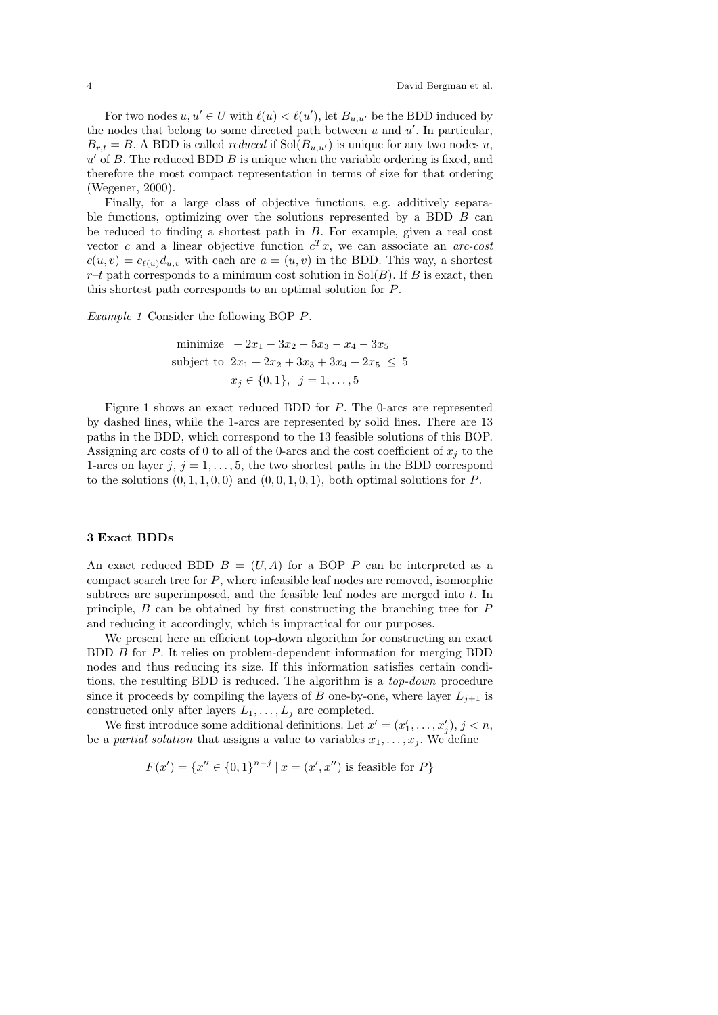For two nodes  $u, u' \in U$  with  $\ell(u) < \ell(u')$ , let  $B_{u,u'}$  be the BDD induced by the nodes that belong to some directed path between *u* and *u ′* . In particular,  $B_{r,t} = B$ . A BDD is called *reduced* if  $Sol(B_{u,u'})$  is unique for any two nodes *u*,  $u'$  of *B*. The reduced BDD *B* is unique when the variable ordering is fixed, and therefore the most compact representation in terms of size for that ordering (Wegener, 2000).

Finally, for a large class of objective functions, e.g. additively separable functions, optimizing over the solutions represented by a BDD *B* can be reduced to finding a shortest path in *B*. For example, given a real cost vector *c* and a linear objective function  $c^T x$ , we can associate an *arc-cost*  $c(u, v) = c_{\ell(u)} d_{u,v}$  with each arc  $a = (u, v)$  in the BDD. This way, a shortest  $r-t$  path corresponds to a minimum cost solution in  $Sol(B)$ . If *B* is exact, then this shortest path corresponds to an optimal solution for *P*.

*Example 1* Consider the following BOP *P*.

minimize 
$$
-2x_1 - 3x_2 - 5x_3 - x_4 - 3x_5
$$
  
subject to  $2x_1 + 2x_2 + 3x_3 + 3x_4 + 2x_5 \le 5$   
 $x_j \in \{0, 1\}, \ j = 1, ..., 5$ 

Figure 1 shows an exact reduced BDD for *P*. The 0-arcs are represented by dashed lines, while the 1-arcs are represented by solid lines. There are 13 paths in the BDD, which correspond to the 13 feasible solutions of this BOP. Assigning arc costs of 0 to all of the 0-arcs and the cost coefficient of  $x_j$  to the 1-arcs on layer  $j, j = 1, \ldots, 5$ , the two shortest paths in the BDD correspond to the solutions  $(0, 1, 1, 0, 0)$  and  $(0, 0, 1, 0, 1)$ , both optimal solutions for *P*.

### **3 Exact BDDs**

An exact reduced BDD  $B = (U, A)$  for a BOP P can be interpreted as a compact search tree for *P*, where infeasible leaf nodes are removed, isomorphic subtrees are superimposed, and the feasible leaf nodes are merged into *t*. In principle, *B* can be obtained by first constructing the branching tree for *P* and reducing it accordingly, which is impractical for our purposes.

We present here an efficient top-down algorithm for constructing an exact BDD *B* for *P*. It relies on problem-dependent information for merging BDD nodes and thus reducing its size. If this information satisfies certain conditions, the resulting BDD is reduced. The algorithm is a *top-down* procedure since it proceeds by compiling the layers of *B* one-by-one, where layer  $L_{i+1}$  is constructed only after layers  $L_1, \ldots, L_j$  are completed.

We first introduce some additional definitions. Let  $x' = (x'_1, \ldots, x'_j), j < n$ , be a *partial solution* that assigns a value to variables  $x_1, \ldots, x_j$ . We define

$$
F(x') = \{x'' \in \{0, 1\}^{n-j} \mid x = (x', x'')
$$
 is feasible for P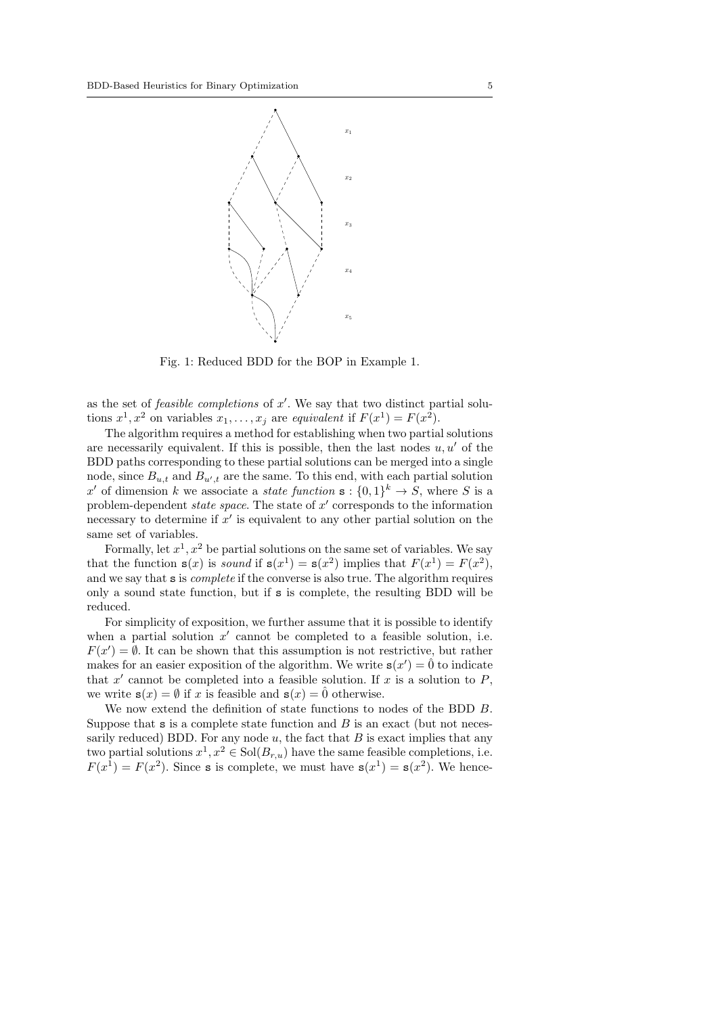

Fig. 1: Reduced BDD for the BOP in Example 1.

as the set of *feasible completions* of *x ′* . We say that two distinct partial solutions  $x^1, x^2$  on variables  $x_1, \ldots, x_j$  are *equivalent* if  $F(x^1) = F(x^2)$ .

The algorithm requires a method for establishing when two partial solutions are necessarily equivalent. If this is possible, then the last nodes  $u, u'$  of the BDD paths corresponding to these partial solutions can be merged into a single node, since  $B_{u,t}$  and  $B_{u',t}$  are the same. To this end, with each partial solution  $x'$  of dimension *k* we associate a *state function*  $\mathbf{s}: \{0,1\}^k \to S$ , where *S* is a problem-dependent *state space*. The state of *x ′* corresponds to the information necessary to determine if *x ′* is equivalent to any other partial solution on the same set of variables.

Formally, let  $x^1, x^2$  be partial solutions on the same set of variables. We say that the function  $\mathbf{s}(x)$  is *sound* if  $\mathbf{s}(x^1) = \mathbf{s}(x^2)$  implies that  $F(x^1) = F(x^2)$ , and we say that s is *complete* if the converse is also true. The algorithm requires only a sound state function, but if s is complete, the resulting BDD will be reduced.

For simplicity of exposition, we further assume that it is possible to identify when a partial solution  $x'$  cannot be completed to a feasible solution, i.e.  $F(x') = \emptyset$ . It can be shown that this assumption is not restrictive, but rather makes for an easier exposition of the algorithm. We write  $\mathbf{s}(x') = \hat{0}$  to indicate that  $x'$  cannot be completed into a feasible solution. If  $x$  is a solution to  $P$ , we write  $\mathbf{s}(x) = \emptyset$  if x is feasible and  $\mathbf{s}(x) = \hat{0}$  otherwise.

We now extend the definition of state functions to nodes of the BDD *B*. Suppose that **s** is a complete state function and *B* is an exact (but not necessarily reduced) BDD. For any node *u*, the fact that *B* is exact implies that any two partial solutions  $x^1, x^2 \in Sol(B_{r,u})$  have the same feasible completions, i.e.  $F(x^1) = F(x^2)$ . Since **s** is complete, we must have  $s(x^1) = s(x^2)$ . We hence-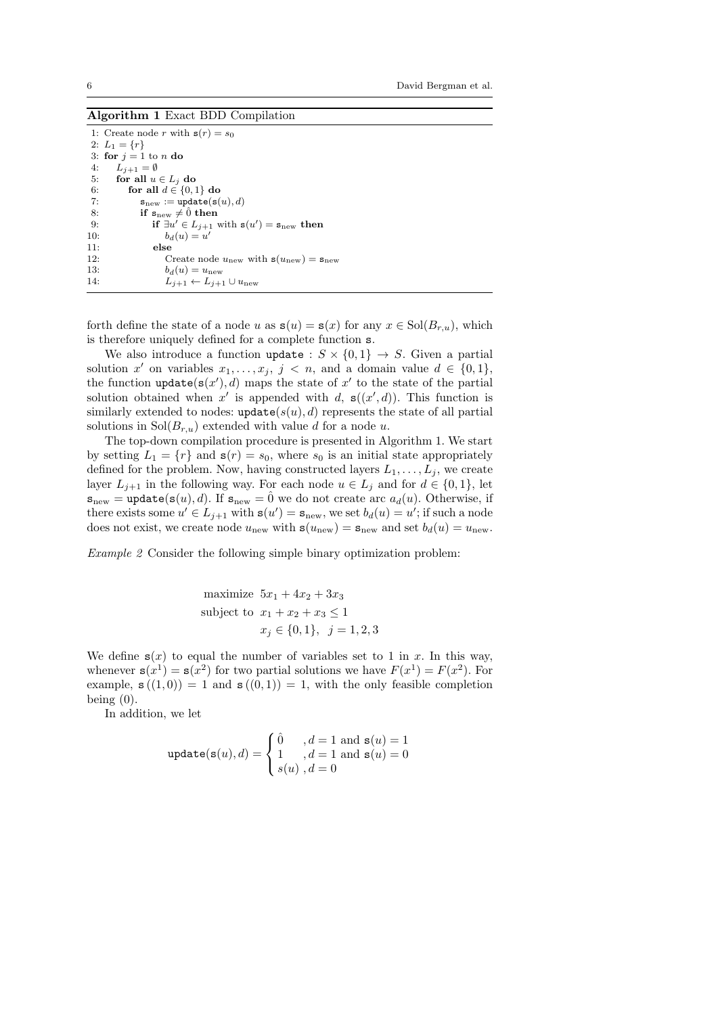**Algorithm 1** Exact BDD Compilation

|     | 1: Create node r with $s(r) = s_0$                                     |
|-----|------------------------------------------------------------------------|
|     | 2: $L_1 = \{r\}$                                                       |
|     | 3: for $j = 1$ to n do                                                 |
| 4:  | $L_{i+1} = \emptyset$                                                  |
|     | 5: for all $u \in L_i$ do                                              |
| 6:  | for all $d \in \{0,1\}$ do                                             |
| 7.  | $\mathbf{s}_{\text{new}} := \text{update}(\mathbf{s}(u), d)$           |
| 8:  | if $s_{new} \neq 0$ then                                               |
| 9:  | if $\exists u' \in L_{i+1}$ with $s(u') = s_{\text{new}}$ then         |
| 10: | $b_d(u) = u'$                                                          |
| 11: | else                                                                   |
| 12: | Create node $u_{\text{new}}$ with $s(u_{\text{new}}) = s_{\text{new}}$ |
| 13: | $b_d(u) = u_{\text{new}}$                                              |
| 14: | $L_{i+1} \leftarrow L_{i+1} \cup u_{\text{new}}$                       |
|     |                                                                        |

forth define the state of a node *u* as  $\mathbf{s}(u) = \mathbf{s}(x)$  for any  $x \in Sol(B_{r,u})$ , which is therefore uniquely defined for a complete function s.

We also introduce a function update :  $S \times \{0,1\} \rightarrow S$ . Given a partial solution *x'* on variables  $x_1, \ldots, x_j, j \leq n$ , and a domain value  $d \in \{0, 1\}$ , the function  $update(s(x'), d)$  maps the state of x' to the state of the partial solution obtained when  $x'$  is appended with *d*,  $s((x', d))$ . This function is similarly extended to nodes:  $update(s(u), d)$  represents the state of all partial solutions in  $Sol(B_{r,u})$  extended with value *d* for a node *u*.

The top-down compilation procedure is presented in Algorithm 1. We start by setting  $L_1 = \{r\}$  and  $s(r) = s_0$ , where  $s_0$  is an initial state appropriately defined for the problem. Now, having constructed layers  $L_1, \ldots, L_j$ , we create layer  $L_{j+1}$  in the following way. For each node  $u \in L_j$  and for  $d \in \{0,1\}$ , let  $s_{\text{new}} = \text{update}(s(u), d)$ . If  $s_{\text{new}} = \hat{0}$  we do not create arc  $a_d(u)$ . Otherwise, if there exists some  $u' \in L_{j+1}$  with  $\mathbf{s}(u') = \mathbf{s}_{\text{new}}$ , we set  $b_d(u) = u'$ ; if such a node does not exist, we create node  $u_{\text{new}}$  with  $\mathbf{s}(u_{\text{new}}) = \mathbf{s}_{\text{new}}$  and set  $b_d(u) = u_{\text{new}}$ .

*Example 2* Consider the following simple binary optimization problem:

maximize 
$$
5x_1 + 4x_2 + 3x_3
$$
  
subject to  $x_1 + x_2 + x_3 \le 1$   
 $x_j \in \{0, 1\}, \ j = 1, 2, 3$ 

We define  $s(x)$  to equal the number of variables set to 1 in x. In this way, whenever  $\mathbf{s}(x^1) = \mathbf{s}(x^2)$  for two partial solutions we have  $F(x^1) = F(x^2)$ . For example,  $s((1,0)) = 1$  and  $s((0,1)) = 1$ , with the only feasible completion being  $(0)$ .

In addition, we let

$$
\mathtt{update}(\mathbf{s}(u), d) = \begin{cases} \hat{0} & , d = 1 \text{ and } \mathbf{s}(u) = 1 \\ 1 & , d = 1 \text{ and } \mathbf{s}(u) = 0 \\ s(u) & , d = 0 \end{cases}
$$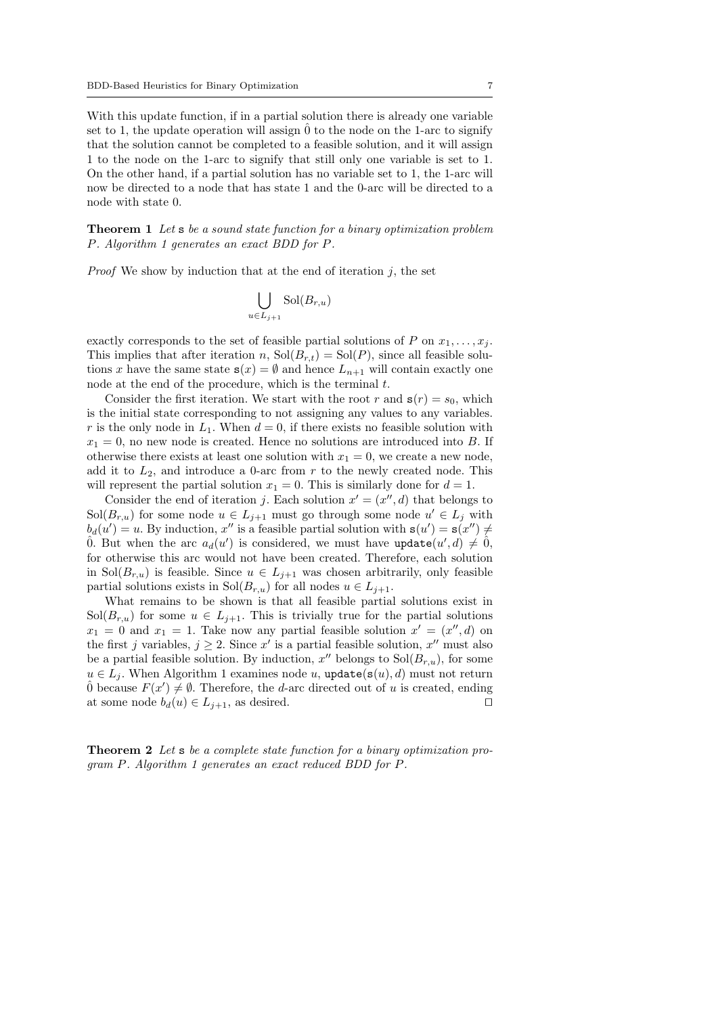With this update function, if in a partial solution there is already one variable set to 1, the update operation will assign  $\theta$  to the node on the 1-arc to signify that the solution cannot be completed to a feasible solution, and it will assign 1 to the node on the 1-arc to signify that still only one variable is set to 1. On the other hand, if a partial solution has no variable set to 1, the 1-arc will now be directed to a node that has state 1 and the 0-arc will be directed to a node with state 0.

**Theorem 1** *Let* s *be a sound state function for a binary optimization problem P. Algorithm 1 generates an exact BDD for P.*

*Proof* We show by induction that at the end of iteration *j*, the set

$$
\bigcup_{u \in L_{j+1}} \mathrm{Sol}(B_{r,u})
$$

exactly corresponds to the set of feasible partial solutions of *P* on  $x_1, \ldots, x_j$ . This implies that after iteration *n*,  $\text{Sol}(B_{r,t}) = \text{Sol}(P)$ , since all feasible solutions *x* have the same state  $s(x) = \emptyset$  and hence  $L_{n+1}$  will contain exactly one node at the end of the procedure, which is the terminal *t*.

Consider the first iteration. We start with the root *r* and  $s(r) = s_0$ , which is the initial state corresponding to not assigning any values to any variables. *r* is the only node in  $L_1$ . When  $d = 0$ , if there exists no feasible solution with  $x_1 = 0$ , no new node is created. Hence no solutions are introduced into *B*. If otherwise there exists at least one solution with  $x_1 = 0$ , we create a new node, add it to  $L_2$ , and introduce a 0-arc from  $r$  to the newly created node. This will represent the partial solution  $x_1 = 0$ . This is similarly done for  $d = 1$ .

Consider the end of iteration *j*. Each solution  $x' = (x'', d)$  that belongs to Sol $(B_{r,u})$  for some node  $u \in L_{j+1}$  must go through some node  $u' \in L_j$  with  $b_d(u') = u$ . By induction, *x*<sup>*''*</sup> is a feasible partial solution with  $s(u') = s(x'') \neq$ 0. But when the arc  $a_d(u')$  is considered, we must have update $(u', d) \neq 0$ , for otherwise this arc would not have been created. Therefore, each solution in Sol $(B_{r,u})$  is feasible. Since  $u \in L_{j+1}$  was chosen arbitrarily, only feasible partial solutions exists in Sol $(B_{r,u})$  for all nodes  $u \in L_{j+1}$ .

What remains to be shown is that all feasible partial solutions exist in Sol $(B_{r,u})$  for some  $u \in L_{j+1}$ . This is trivially true for the partial solutions  $x_1 = 0$  and  $x_1 = 1$ . Take now any partial feasible solution  $x' = (x'', d)$  on the first *j* variables,  $j \geq 2$ . Since  $x'$  is a partial feasible solution,  $x''$  must also be a partial feasible solution. By induction,  $x''$  belongs to  $Sol(B_{r,u})$ , for some *u* ∈ *L*<sub>*j*</sub>. When Algorithm 1 examines node *u*, update( $s(u)$ *, d*) must not return  $\hat{0}$  because  $F(x') \neq \emptyset$ . Therefore, the *d*-arc directed out of *u* is created, ending at some node  $b_d(u) \in L_{i+1}$ , as desired.  $□$ 

**Theorem 2** *Let* s *be a complete state function for a binary optimization program P. Algorithm 1 generates an exact reduced BDD for P.*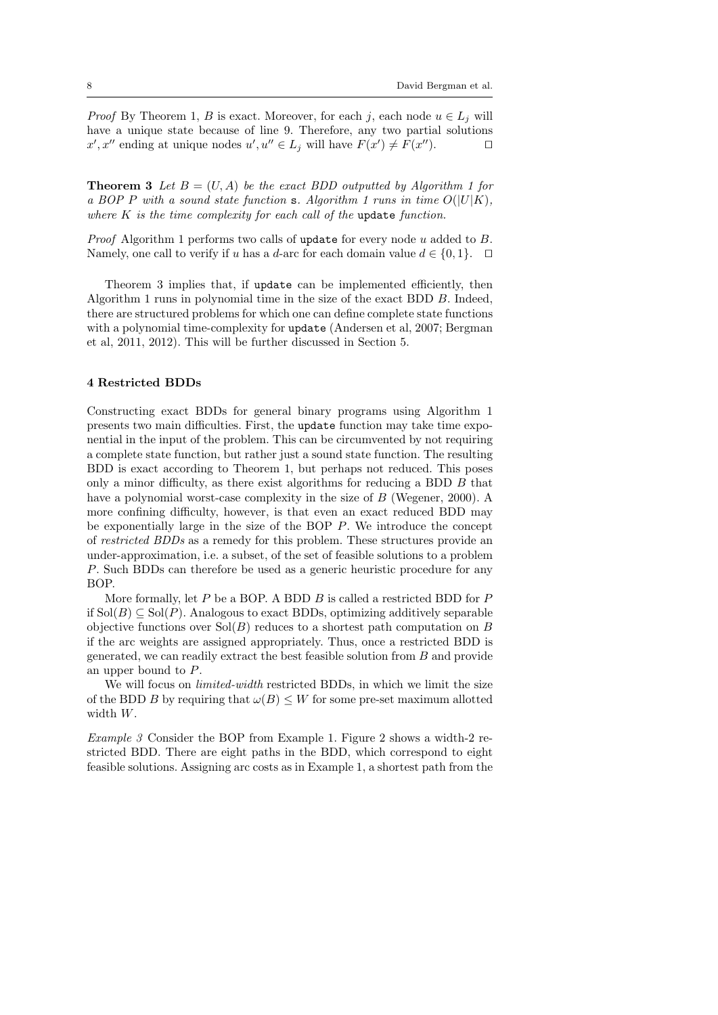*Proof* By Theorem 1, *B* is exact. Moreover, for each *j*, each node  $u \in L_i$  will have a unique state because of line 9. Therefore, any two partial solutions  $x', x''$  ending at unique nodes  $u', u'' \in L_j$  will have  $F(x') \neq F(x'')$ .  $\Box$ 

**Theorem 3** Let  $B = (U, A)$  be the exact BDD outputted by Algorithm 1 for *a BOP P* with a sound state function **s**. Algorithm 1 runs in time  $O(|U|K)$ , *where K is the time complexity for each call of the* update *function.*

*Proof* Algorithm 1 performs two calls of update for every node *u* added to *B*. Namely, one call to verify if *u* has a *d*-arc for each domain value  $d \in \{0, 1\}$ .  $\Box$ 

Theorem 3 implies that, if update can be implemented efficiently, then Algorithm 1 runs in polynomial time in the size of the exact BDD *B*. Indeed, there are structured problems for which one can define complete state functions with a polynomial time-complexity for update (Andersen et al, 2007; Bergman et al, 2011, 2012). This will be further discussed in Section 5.

### **4 Restricted BDDs**

Constructing exact BDDs for general binary programs using Algorithm 1 presents two main difficulties. First, the update function may take time exponential in the input of the problem. This can be circumvented by not requiring a complete state function, but rather just a sound state function. The resulting BDD is exact according to Theorem 1, but perhaps not reduced. This poses only a minor difficulty, as there exist algorithms for reducing a BDD *B* that have a polynomial worst-case complexity in the size of *B* (Wegener, 2000). A more confining difficulty, however, is that even an exact reduced BDD may be exponentially large in the size of the BOP *P*. We introduce the concept of *restricted BDDs* as a remedy for this problem. These structures provide an under-approximation, i.e. a subset, of the set of feasible solutions to a problem *P*. Such BDDs can therefore be used as a generic heuristic procedure for any BOP.

More formally, let *P* be a BOP. A BDD *B* is called a restricted BDD for *P* if Sol(*B*) *⊆* Sol(*P*). Analogous to exact BDDs, optimizing additively separable objective functions over  $Sol(B)$  reduces to a shortest path computation on  $B$ if the arc weights are assigned appropriately. Thus, once a restricted BDD is generated, we can readily extract the best feasible solution from *B* and provide an upper bound to *P*.

We will focus on *limited-width* restricted BDDs, in which we limit the size of the BDD *B* by requiring that  $\omega(B) \leq W$  for some pre-set maximum allotted width *W*.

*Example 3* Consider the BOP from Example 1. Figure 2 shows a width-2 restricted BDD. There are eight paths in the BDD, which correspond to eight feasible solutions. Assigning arc costs as in Example 1, a shortest path from the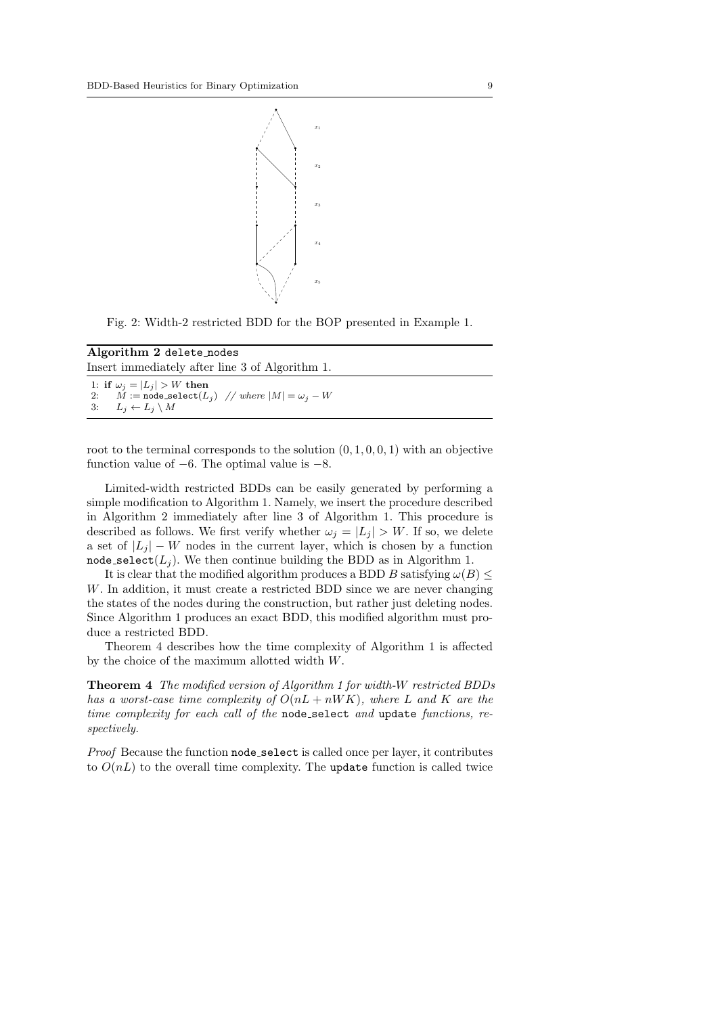

Fig. 2: Width-2 restricted BDD for the BOP presented in Example 1.

| Algorithm 2 delete_nodes                                         |  |  |  |
|------------------------------------------------------------------|--|--|--|
| Insert immediately after line 3 of Algorithm 1.                  |  |  |  |
| 1: if $\omega_j =  L_j  > W$ then                                |  |  |  |
| 2: $M := \text{node\_select}(L_i)$ // where $ M  = \omega_i - W$ |  |  |  |
| 3: $L_i \leftarrow L_i \setminus M$                              |  |  |  |

root to the terminal corresponds to the solution  $(0, 1, 0, 0, 1)$  with an objective function value of *−*6. The optimal value is *−*8.

Limited-width restricted BDDs can be easily generated by performing a simple modification to Algorithm 1. Namely, we insert the procedure described in Algorithm 2 immediately after line 3 of Algorithm 1. This procedure is described as follows. We first verify whether  $\omega_j = |L_j| > W$ . If so, we delete a set of  $|L_i| - W$  nodes in the current layer, which is chosen by a function node\_select( $L_i$ ). We then continue building the BDD as in Algorithm 1.

It is clear that the modified algorithm produces a BDD *B* satisfying  $\omega(B)$  < *W*. In addition, it must create a restricted BDD since we are never changing the states of the nodes during the construction, but rather just deleting nodes. Since Algorithm 1 produces an exact BDD, this modified algorithm must produce a restricted BDD.

Theorem 4 describes how the time complexity of Algorithm 1 is affected by the choice of the maximum allotted width *W*.

**Theorem 4** *The modified version of Algorithm 1 for width-W restricted BDDs has a worst-case time complexity of*  $O(nL + nWK)$ *, where L* and *K* are the *time complexity for each call of the* node select *and* update *functions, respectively.*

*Proof* Because the function node select is called once per layer, it contributes to  $O(nL)$  to the overall time complexity. The update function is called twice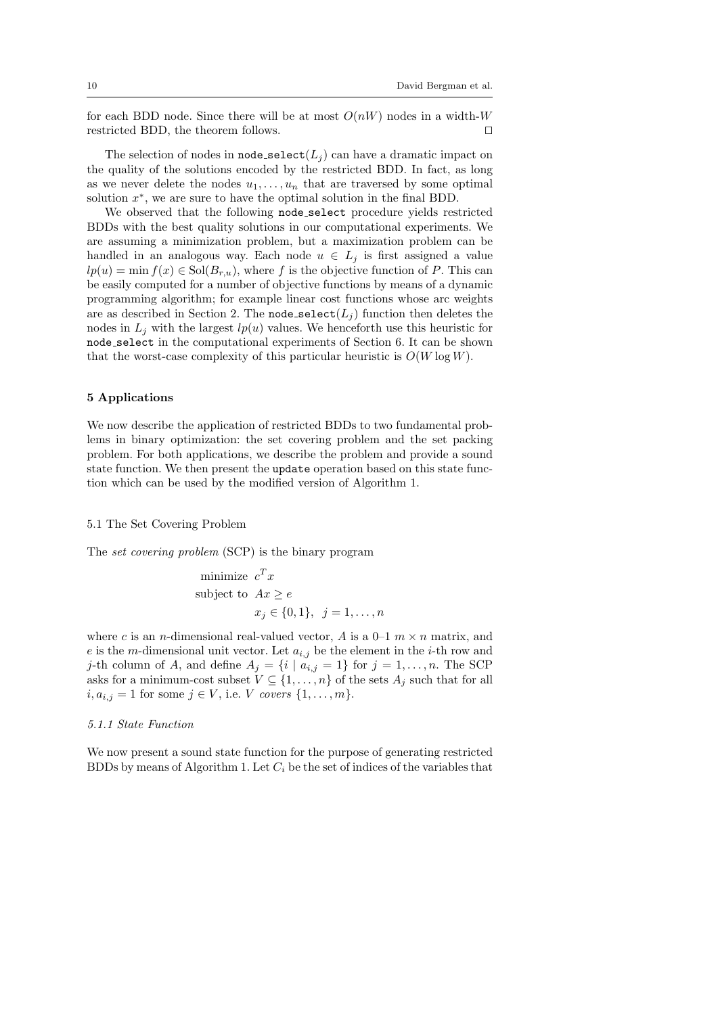for each BDD node. Since there will be at most  $O(nW)$  nodes in a width- $W$ restricted BDD, the theorem follows. *⊓⊔*

The selection of nodes in node\_select( $L_i$ ) can have a dramatic impact on the quality of the solutions encoded by the restricted BDD. In fact, as long as we never delete the nodes  $u_1, \ldots, u_n$  that are traversed by some optimal solution *x ∗* , we are sure to have the optimal solution in the final BDD.

We observed that the following node select procedure yields restricted BDDs with the best quality solutions in our computational experiments. We are assuming a minimization problem, but a maximization problem can be handled in an analogous way. Each node  $u \in L_i$  is first assigned a value  $lp(u) = \min f(x) \in Sol(B_{r,u})$ , where *f* is the objective function of *P*. This can be easily computed for a number of objective functions by means of a dynamic programming algorithm; for example linear cost functions whose arc weights are as described in Section 2. The node\_select( $L_i$ ) function then deletes the nodes in  $L_i$  with the largest  $lp(u)$  values. We henceforth use this heuristic for node select in the computational experiments of Section 6. It can be shown that the worst-case complexity of this particular heuristic is  $O(W \log W)$ .

### **5 Applications**

We now describe the application of restricted BDDs to two fundamental problems in binary optimization: the set covering problem and the set packing problem. For both applications, we describe the problem and provide a sound state function. We then present the update operation based on this state function which can be used by the modified version of Algorithm 1.

### 5.1 The Set Covering Problem

The *set covering problem* (SCP) is the binary program

minimize 
$$
c^T x
$$
  
subject to  $Ax \ge e$   
 $x_j \in \{0, 1\}, \ \ j = 1, ..., n$ 

where c is an *n*-dimensional real-valued vector, A is a  $0-1$   $m \times n$  matrix, and *e* is the *m*-dimensional unit vector. Let *ai,j* be the element in the *i*-th row and *j*-th column of *A*, and define  $A_j = \{i \mid a_{i,j} = 1\}$  for  $j = 1, \ldots, n$ . The SCP asks for a minimum-cost subset  $V \subseteq \{1, \ldots, n\}$  of the sets  $A_j$  such that for all  $i, a_{i,j} = 1$  for some  $j \in V$ , i.e. *V covers*  $\{1, ..., m\}$ .

### *5.1.1 State Function*

We now present a sound state function for the purpose of generating restricted BDDs by means of Algorithm 1. Let  $C_i$  be the set of indices of the variables that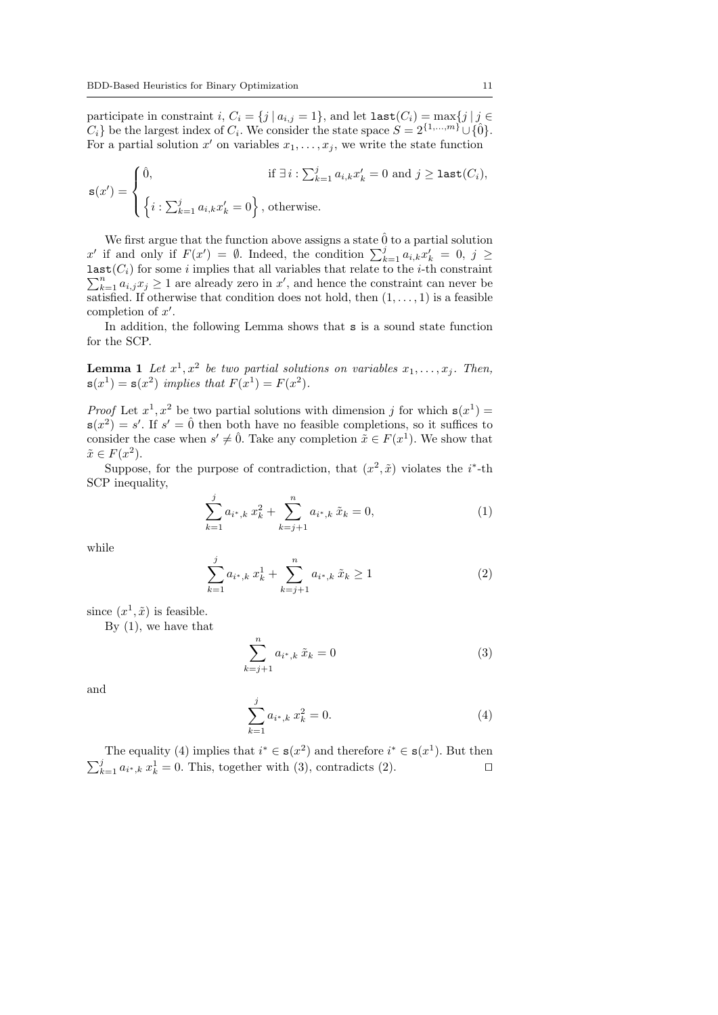participate in constraint *i*,  $C_i = \{j \mid a_{i,j} = 1\}$ , and let  $\texttt{last}(C_i) = \max\{j \mid j \in \text{max}\}$  $C_i$ } be the largest index of  $C_i$ . We consider the state space  $S = 2^{{1,\dots,m}}$ *∪* { $\hat{0}$ }. For a partial solution  $x'$  on variables  $x_1, \ldots, x_j$ , we write the state function

$$
\mathbf{s}(x') = \begin{cases} \hat{0}, & \text{if } \exists i : \sum_{k=1}^{j} a_{i,k} x'_k = 0 \text{ and } j \ge \mathtt{last}(C_i), \\ \left\{ i : \sum_{k=1}^{j} a_{i,k} x'_k = 0 \right\}, \text{otherwise.} \end{cases}
$$

We first argue that the function above assigns a state  $\hat{0}$  to a partial solution *x*<sup>'</sup> if and only if  $F(x') = \emptyset$ . Indeed, the condition  $\sum_{k=1}^{j} a_{i,k} x'_{k} = 0, j \geq$  $\textsf{last}(C_i)$  for some *i* implies that all variables that relate to the *i*-th constraint  $\sum_{k=1}^{n} a_{i,j} x_j \geq 1$  are already zero in *x*<sup>*'*</sup>, and hence the constraint can never be satisfied. If otherwise that condition does not hold, then  $(1, \ldots, 1)$  is a feasible completion of *x ′* .

In addition, the following Lemma shows that  $s$  is a sound state function for the SCP.

**Lemma 1** Let  $x^1, x^2$  be two partial solutions on variables  $x_1, \ldots, x_j$ . Then,  $s(x^1) = s(x^2)$  *implies that*  $F(x^1) = F(x^2)$ *.* 

*Proof* Let  $x^1, x^2$  be two partial solutions with dimension *j* for which  $s(x^1) =$  $s(x^2) = s'$ . If  $s' = 0$  then both have no feasible completions, so it suffices to consider the case when  $s' \neq 0$ . Take any completion  $\tilde{x} \in F(x^1)$ . We show that  $\tilde{x} \in F(x^2)$ .

Suppose, for the purpose of contradiction, that  $(x^2, \tilde{x})$  violates the *i*<sup>\*</sup>-th SCP inequality,

$$
\sum_{k=1}^{j} a_{i^*,k} x_k^2 + \sum_{k=j+1}^{n} a_{i^*,k} \tilde{x}_k = 0,
$$
\n(1)

while

$$
\sum_{k=1}^{j} a_{i^*,k} x_k^1 + \sum_{k=j+1}^{n} a_{i^*,k} \tilde{x}_k \ge 1
$$
 (2)

since  $(x^1, \tilde{x})$  is feasible.

By  $(1)$ , we have that

$$
\sum_{k=j+1}^{n} a_{i^*,k} \, \tilde{x}_k = 0 \tag{3}
$$

and

$$
\sum_{k=1}^{j} a_{i^*,k} x_k^2 = 0.
$$
 (4)

The equality (4) implies that  $i^* \in s(x^2)$  and therefore  $i^* \in s(x^1)$ . But then  $\sum_{k=1}^{j} a_{i^*,k} x_k^1 = 0$ . This, together with (3), contradicts (2). □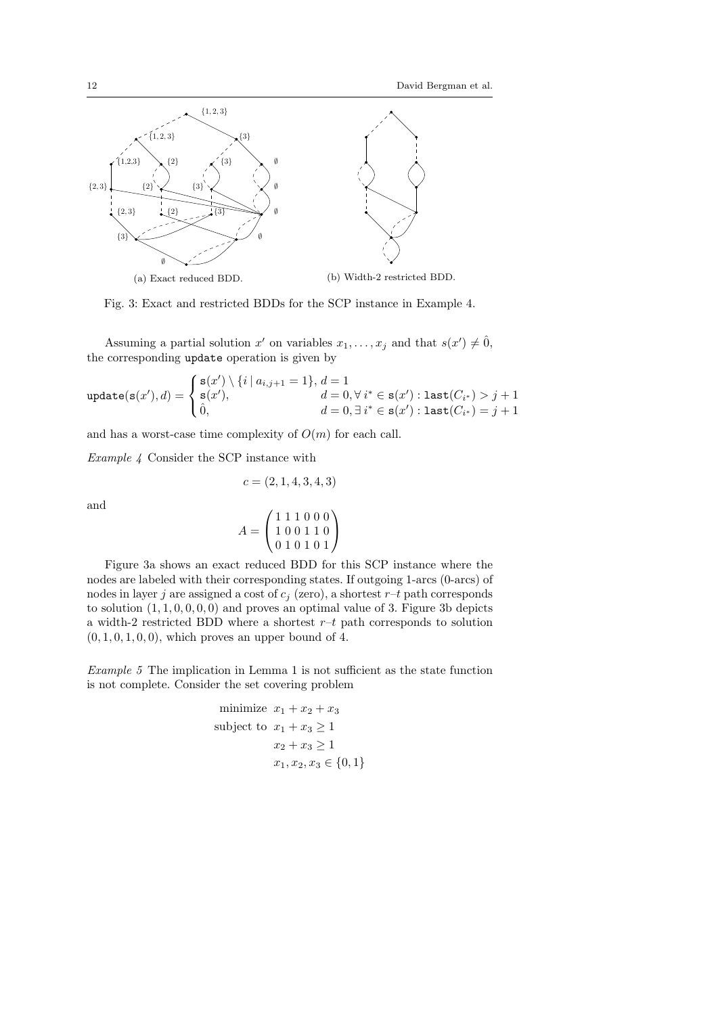

Fig. 3: Exact and restricted BDDs for the SCP instance in Example 4.

Assuming a partial solution  $x'$  on variables  $x_1, \ldots, x_j$  and that  $s(x') \neq \hat{0}$ , the corresponding update operation is given by

$$
\mathtt{update}(\mathbf{s}(x'), d) = \left\{ \begin{matrix} \mathbf{s}(x') \setminus \{i \mid a_{i, j+1} = 1\}, \ d = 1 \\ \mathbf{s}(x'), \qquad \qquad d = 0, \forall \ i^* \in \mathbf{s}(x') : \mathtt{last}(C_{i^*}) > j+1 \\ 0, \qquad \qquad d = 0, \exists \ i^* \in \mathbf{s}(x') : \mathtt{last}(C_{i^*}) = j+1 \end{matrix} \right.
$$

and has a worst-case time complexity of  $O(m)$  for each call.

*Example 4* Consider the SCP instance with

$$
c = (2, 1, 4, 3, 4, 3)
$$

and

$$
A = \begin{pmatrix} 1 & 1 & 1 & 0 & 0 & 0 \\ 1 & 0 & 0 & 1 & 1 & 0 \\ 0 & 1 & 0 & 1 & 0 & 1 \end{pmatrix}
$$

Figure 3a shows an exact reduced BDD for this SCP instance where the nodes are labeled with their corresponding states. If outgoing 1-arcs (0-arcs) of nodes in layer *j* are assigned a cost of  $c_j$  (zero), a shortest  $r-t$  path corresponds to solution  $(1, 1, 0, 0, 0, 0)$  and proves an optimal value of 3. Figure 3b depicts a width-2 restricted BDD where a shortest *r*–*t* path corresponds to solution (0*,* 1*,* 0*,* 1*,* 0*,* 0), which proves an upper bound of 4.

*Example 5* The implication in Lemma 1 is not sufficient as the state function is not complete. Consider the set covering problem

minimize 
$$
x_1 + x_2 + x_3
$$
  
subject to  $x_1 + x_3 \ge 1$   
 $x_2 + x_3 \ge 1$   
 $x_1, x_2, x_3 \in \{0, 1\}$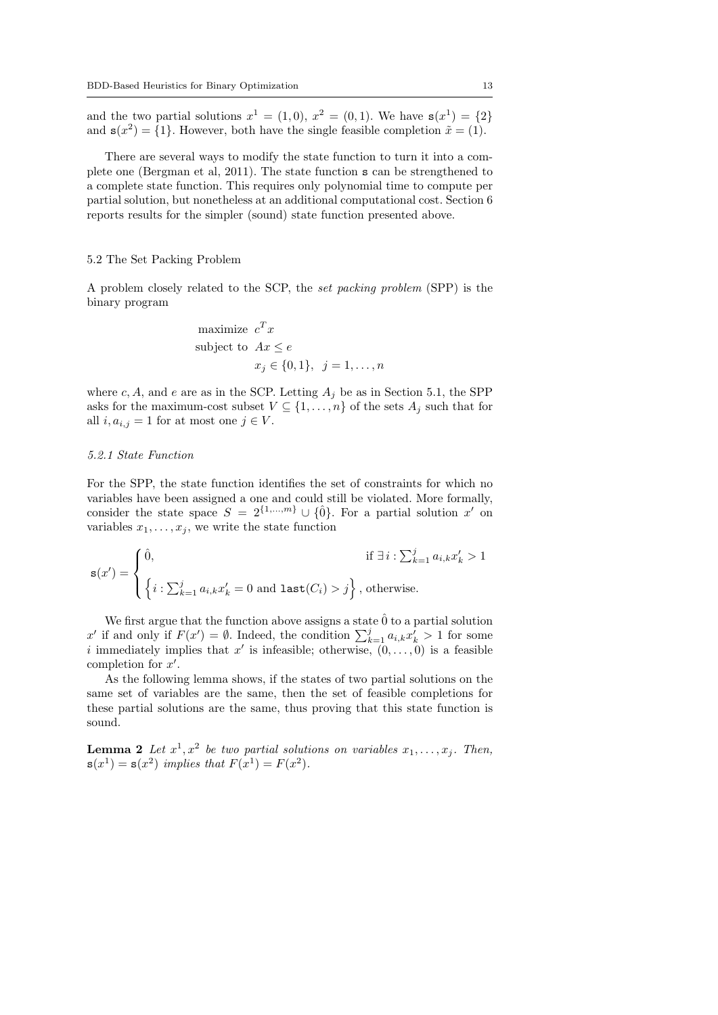and the two partial solutions  $x^1 = (1,0), x^2 = (0,1)$ . We have  $s(x^1) = \{2\}$ and  $\mathbf{s}(x^2) = \{1\}$ . However, both have the single feasible completion  $\tilde{x} = (1)$ .

There are several ways to modify the state function to turn it into a complete one (Bergman et al, 2011). The state function s can be strengthened to a complete state function. This requires only polynomial time to compute per partial solution, but nonetheless at an additional computational cost. Section 6 reports results for the simpler (sound) state function presented above.

### 5.2 The Set Packing Problem

A problem closely related to the SCP, the *set packing problem* (SPP) is the binary program

maximize 
$$
c^T x
$$
  
subject to  $Ax \le e$   
 $x_j \in \{0, 1\}, \ \ j = 1, ..., n$ 

where  $c, A$ , and  $e$  are as in the SCP. Letting  $A_i$  be as in Section 5.1, the SPP asks for the maximum-cost subset  $V \subseteq \{1, \ldots, n\}$  of the sets  $A_i$  such that for all  $i, a_{i,j} = 1$  for at most one  $j \in V$ .

# *5.2.1 State Function*

For the SPP, the state function identifies the set of constraints for which no variables have been assigned a one and could still be violated. More formally, consider the state space  $S = 2^{\{1,\ldots,m\}} \cup \{0\}$ . For a partial solution *x'* on variables  $x_1, \ldots, x_j$ , we write the state function

$$
\mathbf{s}(x') = \begin{cases} \hat{0}, & \text{if } \exists i : \sum_{k=1}^{j} a_{i,k} x'_k > 1 \\ \left\{ i : \sum_{k=1}^{j} a_{i,k} x'_k = 0 \text{ and } \text{last}(C_i) > j \right\}, \text{otherwise.} \end{cases}
$$

We first argue that the function above assigns a state  $\hat{0}$  to a partial solution *x*<sup>'</sup> if and only if  $F(x') = \emptyset$ . Indeed, the condition  $\sum_{k=1}^{j} a_{i,k} x_k^j > 1$  for some *i* immediately implies that  $x'$  is infeasible; otherwise,  $(0, \ldots, 0)$  is a feasible completion for *x ′* .

As the following lemma shows, if the states of two partial solutions on the same set of variables are the same, then the set of feasible completions for these partial solutions are the same, thus proving that this state function is sound.

**Lemma 2** Let  $x^1, x^2$  be two partial solutions on variables  $x_1, \ldots, x_j$ . Then,  $s(x^1) = s(x^2)$  *implies that*  $F(x^1) = F(x^2)$ *.*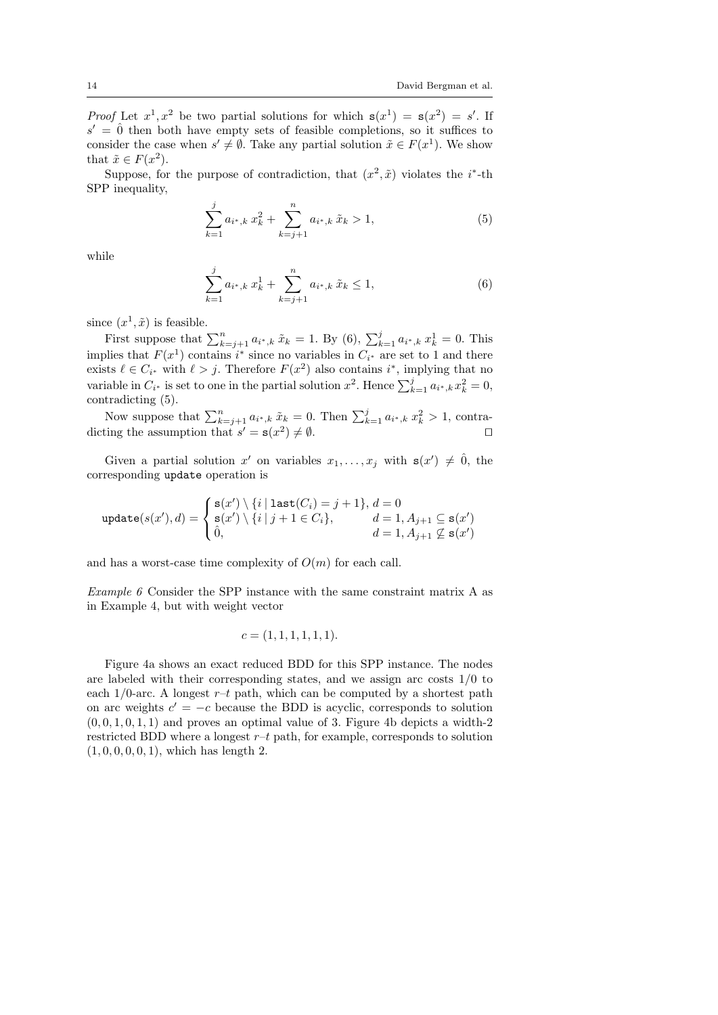*Proof* Let  $x^1, x^2$  be two partial solutions for which  $s(x^1) = s(x^2) = s'$ . If  $s' = 0$  then both have empty sets of feasible completions, so it suffices to consider the case when  $s' \neq \emptyset$ . Take any partial solution  $\tilde{x} \in F(x^1)$ . We show that  $\tilde{x} \in F(x^2)$ .

Suppose, for the purpose of contradiction, that  $(x^2, \tilde{x})$  violates the *i*<sup>\*</sup>-th SPP inequality,

$$
\sum_{k=1}^{j} a_{i^*,k} x_k^2 + \sum_{k=j+1}^{n} a_{i^*,k} \tilde{x}_k > 1,
$$
 (5)

while

$$
\sum_{k=1}^{j} a_{i^*,k} x_k^1 + \sum_{k=j+1}^{n} a_{i^*,k} \tilde{x}_k \le 1,
$$
\n(6)

since  $(x^1, \tilde{x})$  is feasible.

First suppose that  $\sum_{k=j+1}^{n} a_{i^*,k} \tilde{x}_k = 1$ . By (6),  $\sum_{k=1}^{j} a_{i^*,k} x_k^1 = 0$ . This implies that  $F(x^1)$  contains  $i^*$  since no variables in  $C_{i^*}$  are set to 1 and there exists  $\ell \in C_{i^*}$  with  $\ell > j$ . Therefore  $F(x^2)$  also contains  $i^*$ , implying that no variable in  $C_i^*$  is set to one in the partial solution  $x^2$ . Hence  $\sum_{k=1}^j a_{i^*,k} x_k^2 = 0$ , contradicting (5).

Now suppose that  $\sum_{k=j+1}^{n} a_{i^*,k} \tilde{x}_k = 0$ . Then  $\sum_{k=1}^{j} a_{i^*,k} x_k^2 > 1$ , contradicting the assumption that  $s' = s(x^2) \neq \emptyset$ .

Given a partial solution  $x'$  on variables  $x_1, \ldots, x_j$  with  $s(x') \neq 0$ , the corresponding update operation is

$$
\text{update}(s(x'), d) = \left\{ \begin{aligned} \mathbf{s}(x') \setminus \{i \mid \mathtt{last}(C_i) = j+1\}, & d = 0 \\ \mathbf{s}(x') \setminus \{i \mid j+1 \in C_i\}, & d = 1, A_{j+1} \subseteq \mathbf{s}(x') \\ \hat{0}, & d = 1, A_{j+1} \not\subseteq \mathbf{s}(x') \end{aligned} \right.
$$

and has a worst-case time complexity of  $O(m)$  for each call.

*Example 6* Consider the SPP instance with the same constraint matrix A as in Example 4, but with weight vector

$$
c = (1, 1, 1, 1, 1, 1).
$$

Figure 4a shows an exact reduced BDD for this SPP instance. The nodes are labeled with their corresponding states, and we assign arc costs 1/0 to each  $1/0$ -arc. A longest  $r-t$  path, which can be computed by a shortest path on arc weights  $c' = -c$  because the BDD is acyclic, corresponds to solution  $(0, 0, 1, 0, 1, 1)$  and proves an optimal value of 3. Figure 4b depicts a width-2 restricted BDD where a longest *r*–*t* path, for example, corresponds to solution (1*,* 0*,* 0*,* 0*,* 0*,* 1), which has length 2.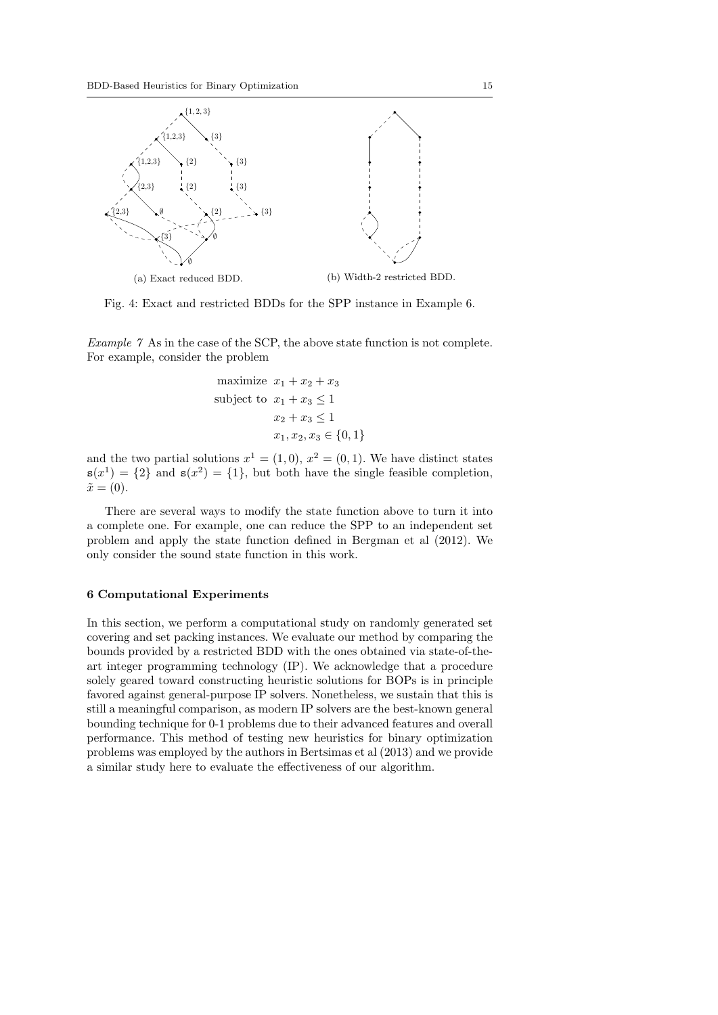

Fig. 4: Exact and restricted BDDs for the SPP instance in Example 6.

*Example 7* As in the case of the SCP, the above state function is not complete. For example, consider the problem

maximize 
$$
x_1 + x_2 + x_3
$$
  
subject to  $x_1 + x_3 \le 1$   
 $x_2 + x_3 \le 1$   
 $x_1, x_2, x_3 \in \{0,$ 

and the two partial solutions  $x^1 = (1,0), x^2 = (0,1)$ . We have distinct states  $s(x^1) = \{2\}$  and  $s(x^2) = \{1\}$ , but both have the single feasible completion,  $\tilde{x}=(0).$ 

*x*<sub>1</sub>*}* 

There are several ways to modify the state function above to turn it into a complete one. For example, one can reduce the SPP to an independent set problem and apply the state function defined in Bergman et al (2012). We only consider the sound state function in this work.

### **6 Computational Experiments**

In this section, we perform a computational study on randomly generated set covering and set packing instances. We evaluate our method by comparing the bounds provided by a restricted BDD with the ones obtained via state-of-theart integer programming technology (IP). We acknowledge that a procedure solely geared toward constructing heuristic solutions for BOPs is in principle favored against general-purpose IP solvers. Nonetheless, we sustain that this is still a meaningful comparison, as modern IP solvers are the best-known general bounding technique for 0-1 problems due to their advanced features and overall performance. This method of testing new heuristics for binary optimization problems was employed by the authors in Bertsimas et al (2013) and we provide a similar study here to evaluate the effectiveness of our algorithm.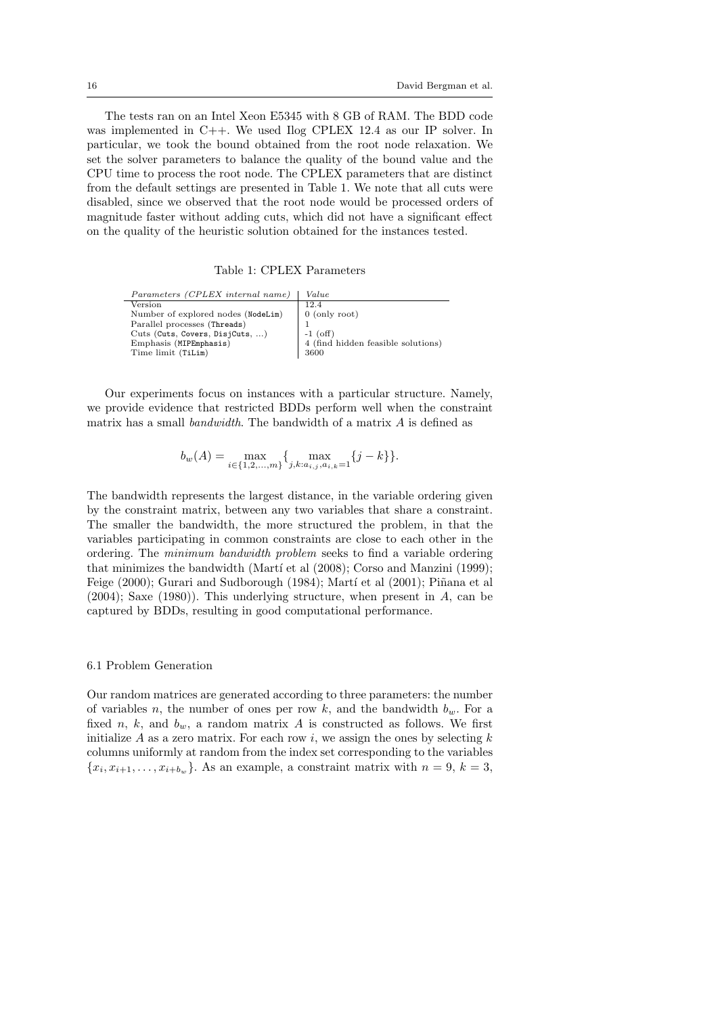The tests ran on an Intel Xeon E5345 with 8 GB of RAM. The BDD code was implemented in C++. We used Ilog CPLEX 12.4 as our IP solver. In particular, we took the bound obtained from the root node relaxation. We set the solver parameters to balance the quality of the bound value and the CPU time to process the root node. The CPLEX parameters that are distinct from the default settings are presented in Table 1. We note that all cuts were disabled, since we observed that the root node would be processed orders of magnitude faster without adding cuts, which did not have a significant effect on the quality of the heuristic solution obtained for the instances tested.

# Table 1: CPLEX Parameters

| Parameters (CPLEX internal name)   | Value                              |
|------------------------------------|------------------------------------|
| Version                            | 12.4                               |
| Number of explored nodes (NodeLim) | $0$ (only root)                    |
| Parallel processes (Threads)       |                                    |
| Cuts (Cuts, Covers, DisjCuts, )    | $-1$ (off)                         |
| Emphasis (MIPEmphasis)             | 4 (find hidden feasible solutions) |
| Time limit (TiLim)                 | 3600                               |
|                                    |                                    |

Our experiments focus on instances with a particular structure. Namely, we provide evidence that restricted BDDs perform well when the constraint matrix has a small *bandwidth*. The bandwidth of a matrix *A* is defined as

$$
b_w(A) = \max_{i \in \{1, 2, \dots, m\}} \{ \max_{j, k: a_{i,j}, a_{i,k} = 1} \{j - k\} \}.
$$

The bandwidth represents the largest distance, in the variable ordering given by the constraint matrix, between any two variables that share a constraint. The smaller the bandwidth, the more structured the problem, in that the variables participating in common constraints are close to each other in the ordering. The *minimum bandwidth problem* seeks to find a variable ordering that minimizes the bandwidth (Martí et al  $(2008)$ ; Corso and Manzini  $(1999)$ ; Feige (2000); Gurari and Sudborough (1984); Martí et al (2001); Piñana et al (2004); Saxe (1980)). This underlying structure, when present in *A*, can be captured by BDDs, resulting in good computational performance.

### 6.1 Problem Generation

Our random matrices are generated according to three parameters: the number of variables *n*, the number of ones per row *k*, and the bandwidth  $b_w$ . For a fixed *n*, *k*, and  $b_w$ , a random matrix *A* is constructed as follows. We first initialize *A* as a zero matrix. For each row *i*, we assign the ones by selecting *k* columns uniformly at random from the index set corresponding to the variables  ${x_i, x_{i+1}, \ldots, x_{i+b_w}}$ . As an example, a constraint matrix with  $n = 9, k = 3$ ,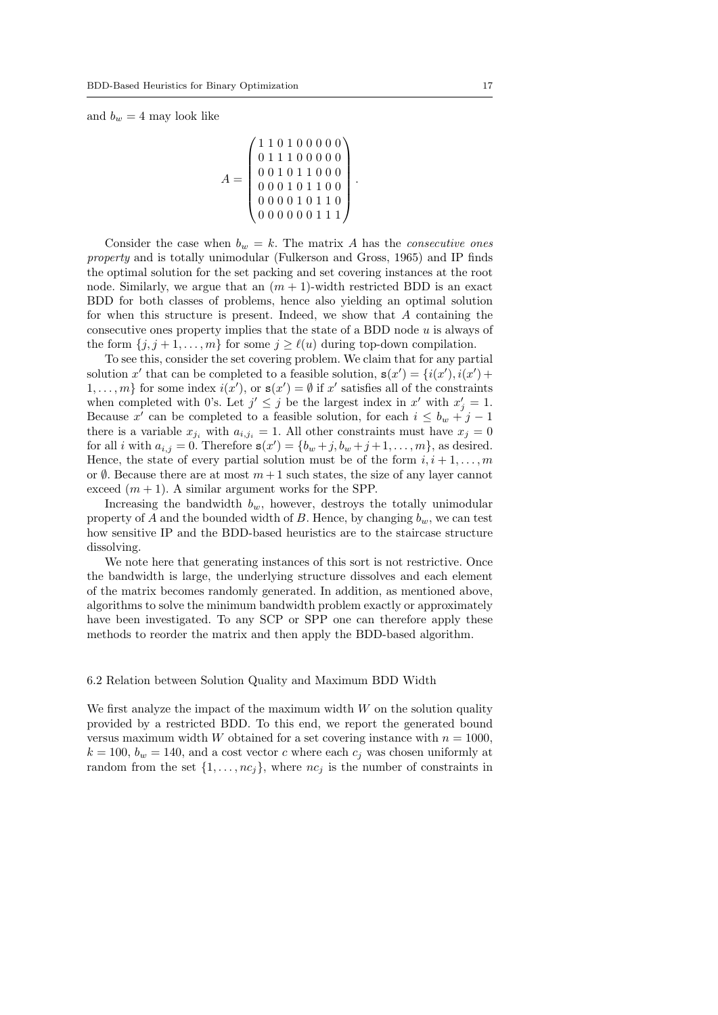and  $b_w = 4$  may look like

 $A =$  $(1 1 0 1 0 0 0 0 0)$  $\overline{\phantom{a}}$ 0 1 1 1 0 0 0 0 0 0 0 1 0 1 1 0 0 0 0 0 0 1 0 1 1 0 0 0 0 0 0 1 0 1 1 0 0 0 0 0 0 0 1 1 1  $\setminus$  $\overline{\phantom{a}}$ *.*

Consider the case when  $b_w = k$ . The matrix *A* has the *consecutive ones property* and is totally unimodular (Fulkerson and Gross, 1965) and IP finds the optimal solution for the set packing and set covering instances at the root node. Similarly, we argue that an  $(m + 1)$ -width restricted BDD is an exact BDD for both classes of problems, hence also yielding an optimal solution for when this structure is present. Indeed, we show that *A* containing the consecutive ones property implies that the state of a BDD node *u* is always of the form  $\{j, j + 1, \ldots, m\}$  for some  $j \geq \ell(u)$  during top-down compilation.

To see this, consider the set covering problem. We claim that for any partial solution *x'* that can be completed to a feasible solution,  $s(x') = \{i(x'), i(x') +$ 1,..., *m}* for some index  $i(x')$ , or  $s(x') = \emptyset$  if *x'* satisfies all of the constraints when completed with 0's. Let  $j' \leq j$  be the largest index in  $x'$  with  $x'_j = 1$ . Because *x'* can be completed to a feasible solution, for each  $i \leq b_w + j - 1$ there is a variable  $x_{j_i}$  with  $a_{i,j_i} = 1$ . All other constraints must have  $x_j = 0$ for all *i* with  $a_{i,j} = 0$ . Therefore  $\mathbf{s}(x') = \{b_w + j, b_w + j + 1, \dots, m\}$ , as desired. Hence, the state of every partial solution must be of the form  $i, i+1, \ldots, m$ or  $\emptyset$ . Because there are at most  $m+1$  such states, the size of any layer cannot exceed  $(m + 1)$ . A similar argument works for the SPP.

Increasing the bandwidth  $b_w$ , however, destroys the totally unimodular property of *A* and the bounded width of *B*. Hence, by changing  $b_w$ , we can test how sensitive IP and the BDD-based heuristics are to the staircase structure dissolving.

We note here that generating instances of this sort is not restrictive. Once the bandwidth is large, the underlying structure dissolves and each element of the matrix becomes randomly generated. In addition, as mentioned above, algorithms to solve the minimum bandwidth problem exactly or approximately have been investigated. To any SCP or SPP one can therefore apply these methods to reorder the matrix and then apply the BDD-based algorithm.

#### 6.2 Relation between Solution Quality and Maximum BDD Width

We first analyze the impact of the maximum width *W* on the solution quality provided by a restricted BDD. To this end, we report the generated bound versus maximum width *W* obtained for a set covering instance with  $n = 1000$ ,  $k = 100$ ,  $b_w = 140$ , and a cost vector *c* where each  $c_j$  was chosen uniformly at random from the set  $\{1, \ldots, nc_j\}$ , where  $nc_j$  is the number of constraints in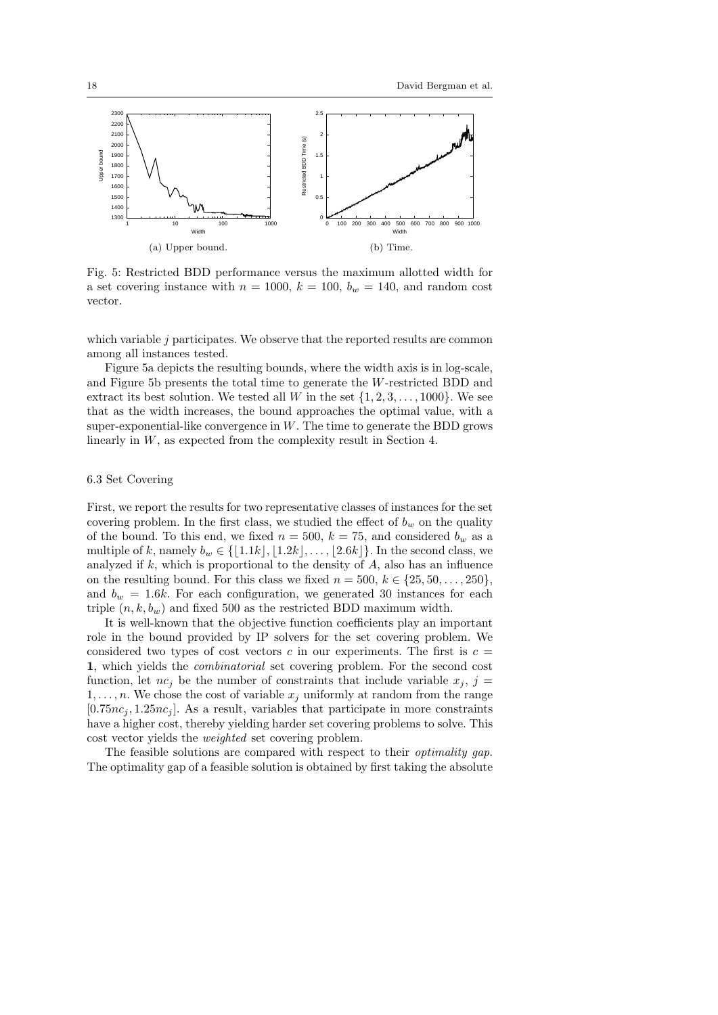

Fig. 5: Restricted BDD performance versus the maximum allotted width for a set covering instance with  $n = 1000$ ,  $k = 100$ ,  $b_w = 140$ , and random cost vector.

which variable *j* participates. We observe that the reported results are common among all instances tested.

Figure 5a depicts the resulting bounds, where the width axis is in log-scale, and Figure 5b presents the total time to generate the *W*-restricted BDD and extract its best solution. We tested all *W* in the set  $\{1, 2, 3, \ldots, 1000\}$ . We see that as the width increases, the bound approaches the optimal value, with a super-exponential-like convergence in *W*. The time to generate the BDD grows linearly in *W*, as expected from the complexity result in Section 4.

# 6.3 Set Covering

First, we report the results for two representative classes of instances for the set covering problem. In the first class, we studied the effect of  $b_w$  on the quality of the bound. To this end, we fixed  $n = 500$ ,  $k = 75$ , and considered  $b_w$  as a multiple of *k*, namely  $b_w \in \{ \vert 1.1k \vert, \vert 1.2k \vert, \ldots, \vert 2.6k \vert \}$ . In the second class, we analyzed if *k*, which is proportional to the density of *A*, also has an influence on the resulting bound. For this class we fixed  $n = 500, k \in \{25, 50, \ldots, 250\}$ , and  $b_w = 1.6k$ . For each configuration, we generated 30 instances for each triple  $(n, k, b_w)$  and fixed 500 as the restricted BDD maximum width.

It is well-known that the objective function coefficients play an important role in the bound provided by IP solvers for the set covering problem. We considered two types of cost vectors  $c$  in our experiments. The first is  $c =$ **1**, which yields the *combinatorial* set covering problem. For the second cost function, let  $nc_j$  be the number of constraints that include variable  $x_j$ ,  $j =$ 1, ..., *n*. We chose the cost of variable  $x_j$  uniformly at random from the range  $[0.75nc<sub>i</sub>, 1.25nc<sub>i</sub>]$ . As a result, variables that participate in more constraints have a higher cost, thereby yielding harder set covering problems to solve. This cost vector yields the *weighted* set covering problem.

The feasible solutions are compared with respect to their *optimality gap*. The optimality gap of a feasible solution is obtained by first taking the absolute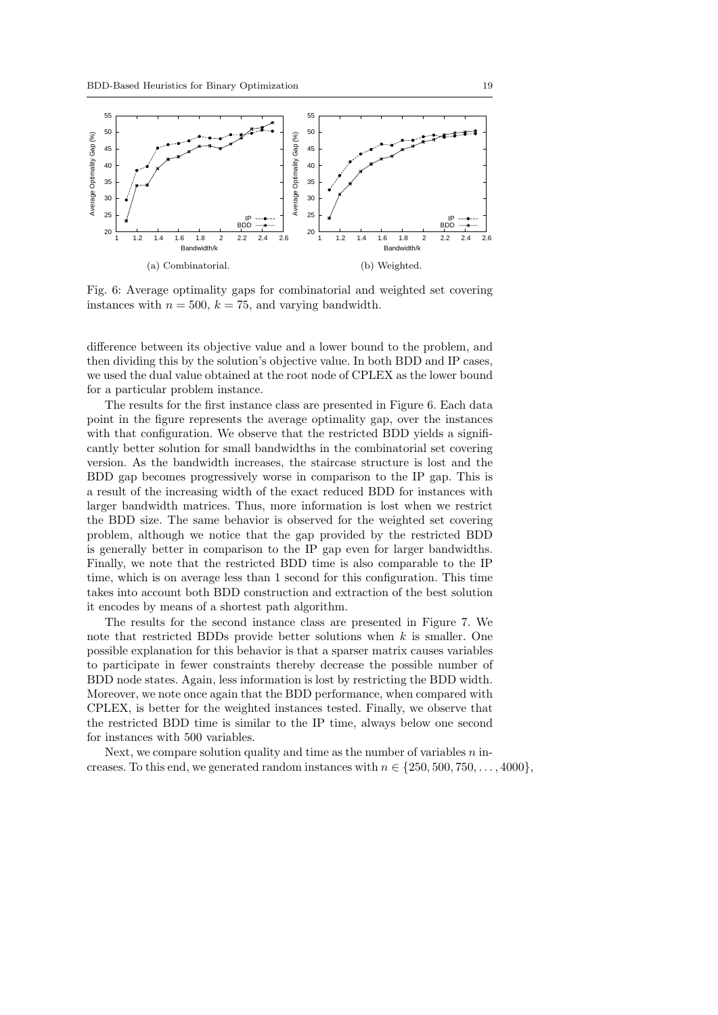

Fig. 6: Average optimality gaps for combinatorial and weighted set covering instances with  $n = 500$ ,  $k = 75$ , and varying bandwidth.

difference between its objective value and a lower bound to the problem, and then dividing this by the solution's objective value. In both BDD and IP cases, we used the dual value obtained at the root node of CPLEX as the lower bound for a particular problem instance.

The results for the first instance class are presented in Figure 6. Each data point in the figure represents the average optimality gap, over the instances with that configuration. We observe that the restricted BDD yields a significantly better solution for small bandwidths in the combinatorial set covering version. As the bandwidth increases, the staircase structure is lost and the BDD gap becomes progressively worse in comparison to the IP gap. This is a result of the increasing width of the exact reduced BDD for instances with larger bandwidth matrices. Thus, more information is lost when we restrict the BDD size. The same behavior is observed for the weighted set covering problem, although we notice that the gap provided by the restricted BDD is generally better in comparison to the IP gap even for larger bandwidths. Finally, we note that the restricted BDD time is also comparable to the IP time, which is on average less than 1 second for this configuration. This time takes into account both BDD construction and extraction of the best solution it encodes by means of a shortest path algorithm.

The results for the second instance class are presented in Figure 7. We note that restricted BDDs provide better solutions when *k* is smaller. One possible explanation for this behavior is that a sparser matrix causes variables to participate in fewer constraints thereby decrease the possible number of BDD node states. Again, less information is lost by restricting the BDD width. Moreover, we note once again that the BDD performance, when compared with CPLEX, is better for the weighted instances tested. Finally, we observe that the restricted BDD time is similar to the IP time, always below one second for instances with 500 variables.

Next, we compare solution quality and time as the number of variables *n* increases. To this end, we generated random instances with  $n \in \{250, 500, 750, \ldots, 4000\}$ ,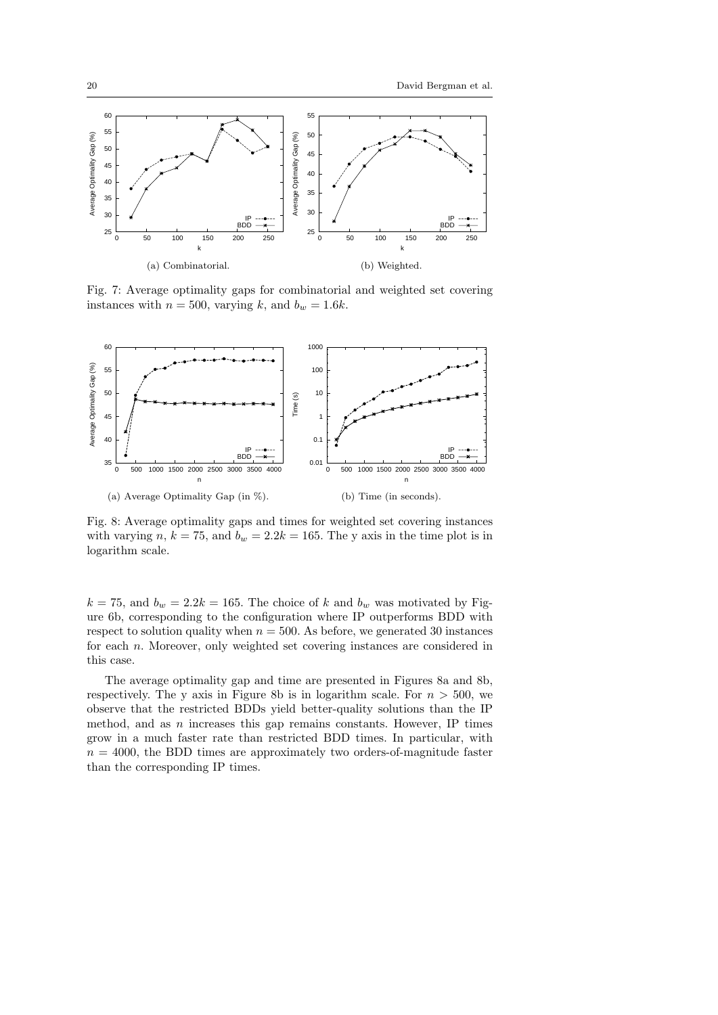

Fig. 7: Average optimality gaps for combinatorial and weighted set covering instances with  $n = 500$ , varying  $k$ , and  $b_w = 1.6k$ .



Fig. 8: Average optimality gaps and times for weighted set covering instances with varying *n*,  $k = 75$ , and  $b_w = 2.2k = 165$ . The y axis in the time plot is in logarithm scale.

 $k = 75$ , and  $b_w = 2.2k = 165$ . The choice of *k* and  $b_w$  was motivated by Figure 6b, corresponding to the configuration where IP outperforms BDD with respect to solution quality when  $n = 500$ . As before, we generated 30 instances for each *n*. Moreover, only weighted set covering instances are considered in this case.

The average optimality gap and time are presented in Figures 8a and 8b, respectively. The y axis in Figure 8b is in logarithm scale. For  $n > 500$ , we observe that the restricted BDDs yield better-quality solutions than the IP method, and as *n* increases this gap remains constants. However, IP times grow in a much faster rate than restricted BDD times. In particular, with  $n = 4000$ , the BDD times are approximately two orders-of-magnitude faster than the corresponding IP times.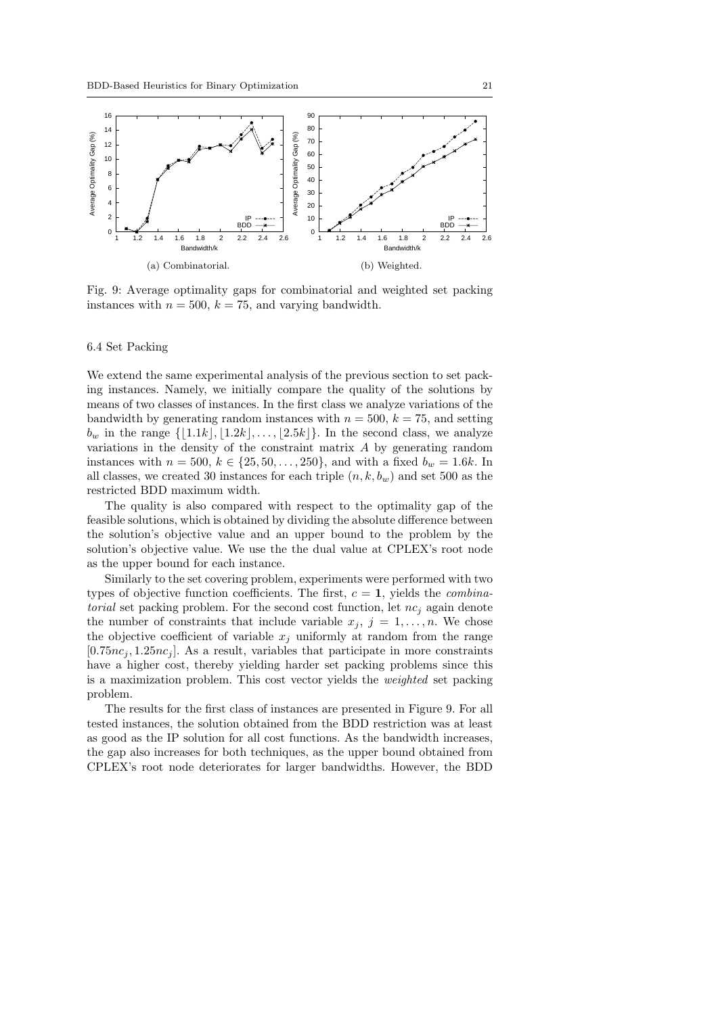

Fig. 9: Average optimality gaps for combinatorial and weighted set packing instances with  $n = 500$ ,  $k = 75$ , and varying bandwidth.

#### 6.4 Set Packing

We extend the same experimental analysis of the previous section to set packing instances. Namely, we initially compare the quality of the solutions by means of two classes of instances. In the first class we analyze variations of the bandwidth by generating random instances with  $n = 500$ ,  $k = 75$ , and setting  $b_w$  in the range  $\{|1.1k|, |1.2k|, \ldots, |2.5k|\}$ . In the second class, we analyze variations in the density of the constraint matrix *A* by generating random instances with  $n = 500, k \in \{25, 50, ..., 250\}$ , and with a fixed  $b_w = 1.6k$ . In all classes, we created 30 instances for each triple  $(n, k, b_w)$  and set 500 as the restricted BDD maximum width.

The quality is also compared with respect to the optimality gap of the feasible solutions, which is obtained by dividing the absolute difference between the solution's objective value and an upper bound to the problem by the solution's objective value. We use the the dual value at CPLEX's root node as the upper bound for each instance.

Similarly to the set covering problem, experiments were performed with two types of objective function coefficients. The first,  $c = 1$ , yields the *combinatorial* set packing problem. For the second cost function, let *nc<sup>j</sup>* again denote the number of constraints that include variable  $x_j$ ,  $j = 1, \ldots, n$ . We chose the objective coefficient of variable  $x_j$  uniformly at random from the range  $[0.75nc<sub>i</sub>, 1.25nc<sub>i</sub>]$ . As a result, variables that participate in more constraints have a higher cost, thereby yielding harder set packing problems since this is a maximization problem. This cost vector yields the *weighted* set packing problem.

The results for the first class of instances are presented in Figure 9. For all tested instances, the solution obtained from the BDD restriction was at least as good as the IP solution for all cost functions. As the bandwidth increases, the gap also increases for both techniques, as the upper bound obtained from CPLEX's root node deteriorates for larger bandwidths. However, the BDD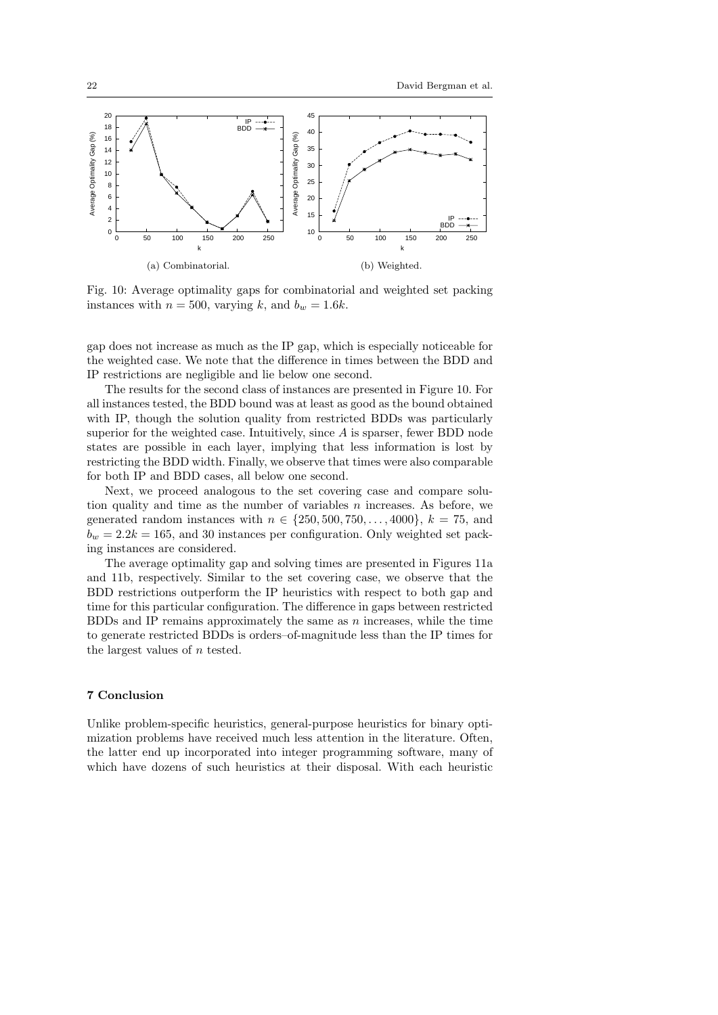

Fig. 10: Average optimality gaps for combinatorial and weighted set packing instances with  $n = 500$ , varying  $k$ , and  $b_w = 1.6k$ .

gap does not increase as much as the IP gap, which is especially noticeable for the weighted case. We note that the difference in times between the BDD and IP restrictions are negligible and lie below one second.

The results for the second class of instances are presented in Figure 10. For all instances tested, the BDD bound was at least as good as the bound obtained with IP, though the solution quality from restricted BDDs was particularly superior for the weighted case. Intuitively, since *A* is sparser, fewer BDD node states are possible in each layer, implying that less information is lost by restricting the BDD width. Finally, we observe that times were also comparable for both IP and BDD cases, all below one second.

Next, we proceed analogous to the set covering case and compare solution quality and time as the number of variables *n* increases. As before, we generated random instances with  $n \in \{250, 500, 750, \ldots, 4000\}, k = 75$ , and  $b_w = 2.2k = 165$ , and 30 instances per configuration. Only weighted set packing instances are considered.

The average optimality gap and solving times are presented in Figures 11a and 11b, respectively. Similar to the set covering case, we observe that the BDD restrictions outperform the IP heuristics with respect to both gap and time for this particular configuration. The difference in gaps between restricted BDDs and IP remains approximately the same as *n* increases, while the time to generate restricted BDDs is orders–of-magnitude less than the IP times for the largest values of *n* tested.

# **7 Conclusion**

Unlike problem-specific heuristics, general-purpose heuristics for binary optimization problems have received much less attention in the literature. Often, the latter end up incorporated into integer programming software, many of which have dozens of such heuristics at their disposal. With each heuristic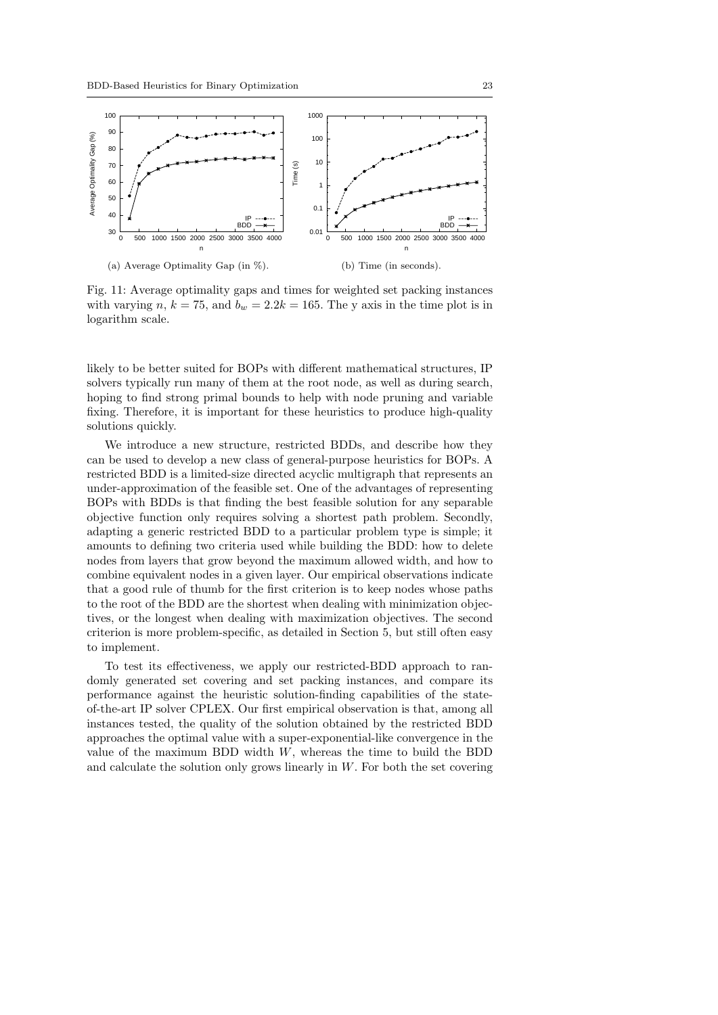

Fig. 11: Average optimality gaps and times for weighted set packing instances with varying  $n, k = 75$ , and  $b_w = 2.2k = 165$ . The y axis in the time plot is in logarithm scale.

likely to be better suited for BOPs with different mathematical structures, IP solvers typically run many of them at the root node, as well as during search, hoping to find strong primal bounds to help with node pruning and variable fixing. Therefore, it is important for these heuristics to produce high-quality solutions quickly.

We introduce a new structure, restricted BDDs, and describe how they can be used to develop a new class of general-purpose heuristics for BOPs. A restricted BDD is a limited-size directed acyclic multigraph that represents an under-approximation of the feasible set. One of the advantages of representing BOPs with BDDs is that finding the best feasible solution for any separable objective function only requires solving a shortest path problem. Secondly, adapting a generic restricted BDD to a particular problem type is simple; it amounts to defining two criteria used while building the BDD: how to delete nodes from layers that grow beyond the maximum allowed width, and how to combine equivalent nodes in a given layer. Our empirical observations indicate that a good rule of thumb for the first criterion is to keep nodes whose paths to the root of the BDD are the shortest when dealing with minimization objectives, or the longest when dealing with maximization objectives. The second criterion is more problem-specific, as detailed in Section 5, but still often easy to implement.

To test its effectiveness, we apply our restricted-BDD approach to randomly generated set covering and set packing instances, and compare its performance against the heuristic solution-finding capabilities of the stateof-the-art IP solver CPLEX. Our first empirical observation is that, among all instances tested, the quality of the solution obtained by the restricted BDD approaches the optimal value with a super-exponential-like convergence in the value of the maximum BDD width *W*, whereas the time to build the BDD and calculate the solution only grows linearly in *W*. For both the set covering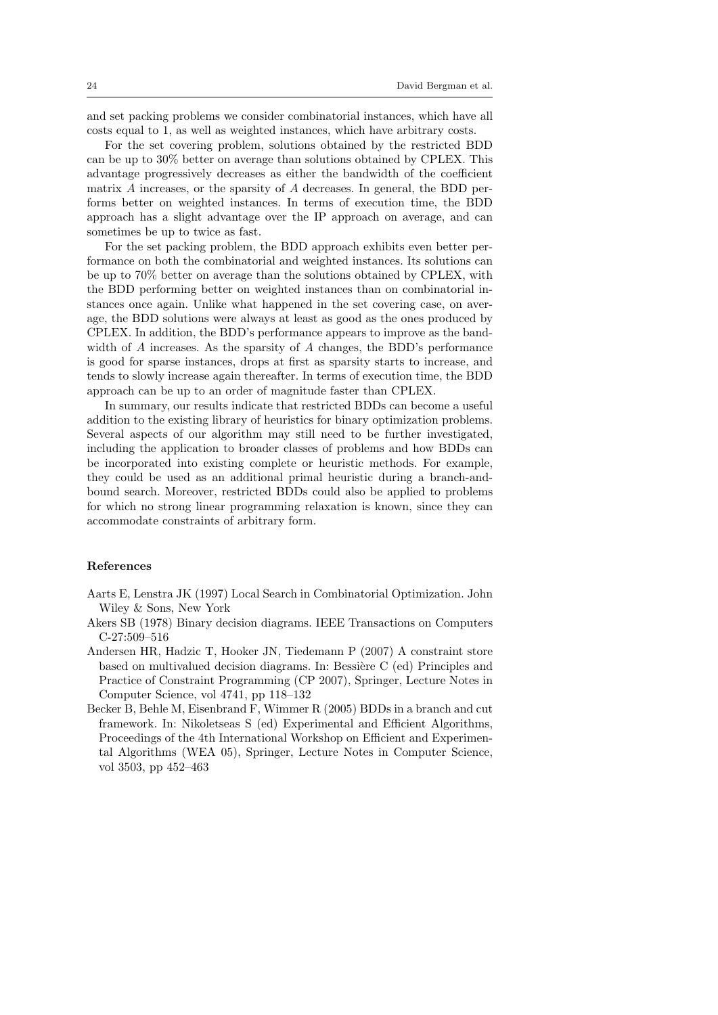and set packing problems we consider combinatorial instances, which have all costs equal to 1, as well as weighted instances, which have arbitrary costs.

For the set covering problem, solutions obtained by the restricted BDD can be up to 30% better on average than solutions obtained by CPLEX. This advantage progressively decreases as either the bandwidth of the coefficient matrix *A* increases, or the sparsity of *A* decreases. In general, the BDD performs better on weighted instances. In terms of execution time, the BDD approach has a slight advantage over the IP approach on average, and can sometimes be up to twice as fast.

For the set packing problem, the BDD approach exhibits even better performance on both the combinatorial and weighted instances. Its solutions can be up to 70% better on average than the solutions obtained by CPLEX, with the BDD performing better on weighted instances than on combinatorial instances once again. Unlike what happened in the set covering case, on average, the BDD solutions were always at least as good as the ones produced by CPLEX. In addition, the BDD's performance appears to improve as the bandwidth of *A* increases. As the sparsity of *A* changes, the BDD's performance is good for sparse instances, drops at first as sparsity starts to increase, and tends to slowly increase again thereafter. In terms of execution time, the BDD approach can be up to an order of magnitude faster than CPLEX.

In summary, our results indicate that restricted BDDs can become a useful addition to the existing library of heuristics for binary optimization problems. Several aspects of our algorithm may still need to be further investigated, including the application to broader classes of problems and how BDDs can be incorporated into existing complete or heuristic methods. For example, they could be used as an additional primal heuristic during a branch-andbound search. Moreover, restricted BDDs could also be applied to problems for which no strong linear programming relaxation is known, since they can accommodate constraints of arbitrary form.

### **References**

- Aarts E, Lenstra JK (1997) Local Search in Combinatorial Optimization. John Wiley & Sons, New York
- Akers SB (1978) Binary decision diagrams. IEEE Transactions on Computers C-27:509–516
- Andersen HR, Hadzic T, Hooker JN, Tiedemann P (2007) A constraint store based on multivalued decision diagrams. In: Bessière C  $(ed)$  Principles and Practice of Constraint Programming (CP 2007), Springer, Lecture Notes in Computer Science, vol 4741, pp 118–132
- Becker B, Behle M, Eisenbrand F, Wimmer R (2005) BDDs in a branch and cut framework. In: Nikoletseas S (ed) Experimental and Efficient Algorithms, Proceedings of the 4th International Workshop on Efficient and Experimental Algorithms (WEA 05), Springer, Lecture Notes in Computer Science, vol 3503, pp 452–463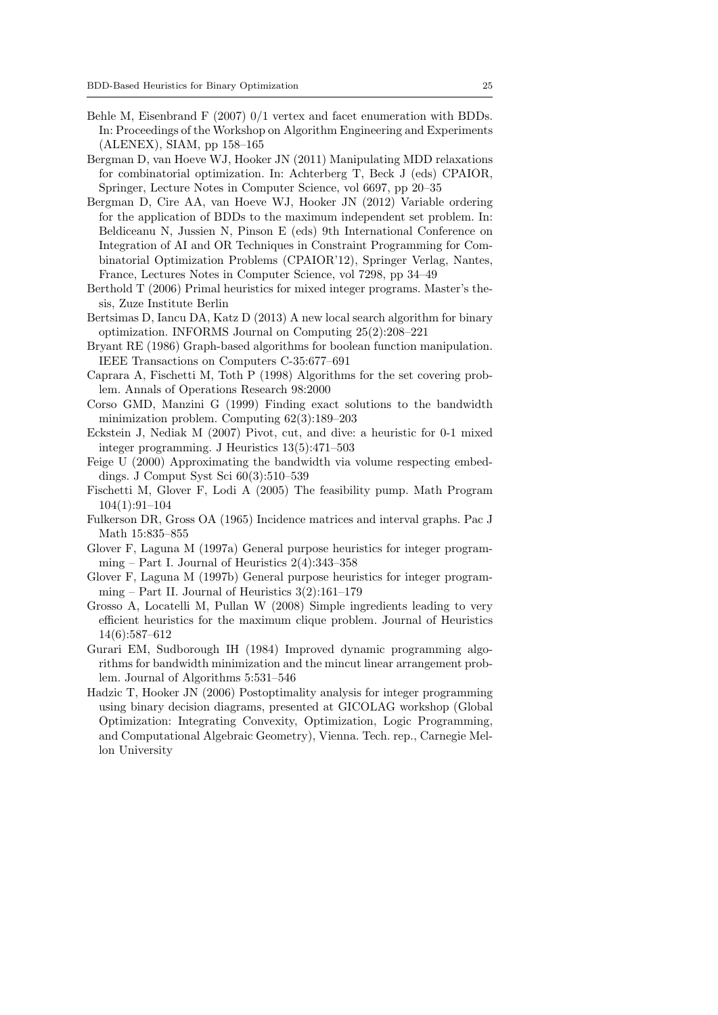- Behle M, Eisenbrand F (2007) 0/1 vertex and facet enumeration with BDDs. In: Proceedings of the Workshop on Algorithm Engineering and Experiments (ALENEX), SIAM, pp 158–165
- Bergman D, van Hoeve WJ, Hooker JN (2011) Manipulating MDD relaxations for combinatorial optimization. In: Achterberg T, Beck J (eds) CPAIOR, Springer, Lecture Notes in Computer Science, vol 6697, pp 20–35
- Bergman D, Cire AA, van Hoeve WJ, Hooker JN (2012) Variable ordering for the application of BDDs to the maximum independent set problem. In: Beldiceanu N, Jussien N, Pinson E (eds) 9th International Conference on Integration of AI and OR Techniques in Constraint Programming for Combinatorial Optimization Problems (CPAIOR'12), Springer Verlag, Nantes, France, Lectures Notes in Computer Science, vol 7298, pp 34–49
- Berthold T (2006) Primal heuristics for mixed integer programs. Master's thesis, Zuze Institute Berlin
- Bertsimas D, Iancu DA, Katz D (2013) A new local search algorithm for binary optimization. INFORMS Journal on Computing 25(2):208–221
- Bryant RE (1986) Graph-based algorithms for boolean function manipulation. IEEE Transactions on Computers C-35:677–691
- Caprara A, Fischetti M, Toth P (1998) Algorithms for the set covering problem. Annals of Operations Research 98:2000
- Corso GMD, Manzini G (1999) Finding exact solutions to the bandwidth minimization problem. Computing 62(3):189–203
- Eckstein J, Nediak M (2007) Pivot, cut, and dive: a heuristic for 0-1 mixed integer programming. J Heuristics 13(5):471–503
- Feige U (2000) Approximating the bandwidth via volume respecting embeddings. J Comput Syst Sci 60(3):510–539
- Fischetti M, Glover F, Lodi A (2005) The feasibility pump. Math Program 104(1):91–104
- Fulkerson DR, Gross OA (1965) Incidence matrices and interval graphs. Pac J Math 15:835–855
- Glover F, Laguna M (1997a) General purpose heuristics for integer programming – Part I. Journal of Heuristics  $2(4):343-358$
- Glover F, Laguna M (1997b) General purpose heuristics for integer programming – Part II. Journal of Heuristics  $3(2):161-179$
- Grosso A, Locatelli M, Pullan W (2008) Simple ingredients leading to very efficient heuristics for the maximum clique problem. Journal of Heuristics 14(6):587–612
- Gurari EM, Sudborough IH (1984) Improved dynamic programming algorithms for bandwidth minimization and the mincut linear arrangement problem. Journal of Algorithms 5:531–546
- Hadzic T, Hooker JN (2006) Postoptimality analysis for integer programming using binary decision diagrams, presented at GICOLAG workshop (Global Optimization: Integrating Convexity, Optimization, Logic Programming, and Computational Algebraic Geometry), Vienna. Tech. rep., Carnegie Mellon University